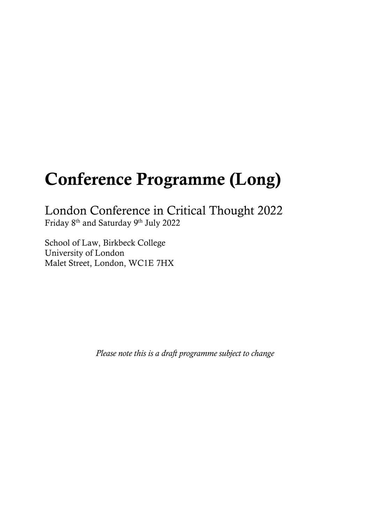# Conference Programme (Long)

London Conference in Critical Thought 2022 Friday 8th and Saturday 9th July 2022

School of Law, Birkbeck College University of London Malet Street, London, WC1E 7HX

*Please note this is a draft programme subject to change*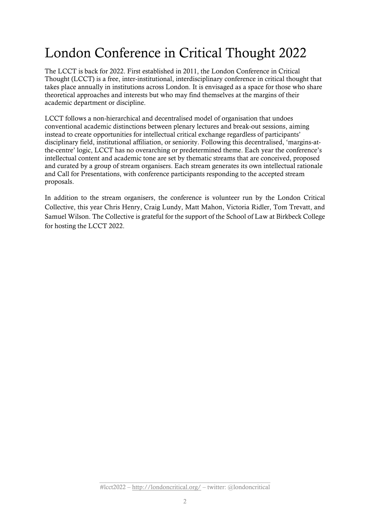# London Conference in Critical Thought 2022

The LCCT is back for 2022. First established in 2011, the London Conference in Critical Thought (LCCT) is a free, inter-institutional, interdisciplinary conference in critical thought that takes place annually in institutions across London. It is envisaged as a space for those who share theoretical approaches and interests but who may find themselves at the margins of their academic department or discipline.

LCCT follows a non-hierarchical and decentralised model of organisation that undoes conventional academic distinctions between plenary lectures and break-out sessions, aiming instead to create opportunities for intellectual critical exchange regardless of participants' disciplinary field, institutional affiliation, or seniority. Following this decentralised, 'margins-atthe-centre' logic, LCCT has no overarching or predetermined theme. Each year the conference's intellectual content and academic tone are set by thematic streams that are conceived, proposed and curated by a group of stream organisers. Each stream generates its own intellectual rationale and Call for Presentations, with conference participants responding to the accepted stream proposals.

In addition to the stream organisers, the conference is volunteer run by the London Critical Collective, this year Chris Henry, Craig Lundy, Matt Mahon, Victoria Ridler, Tom Trevatt, and Samuel Wilson. The Collective is grateful for the support of the School of Law at Birkbeck College for hosting the LCCT 2022.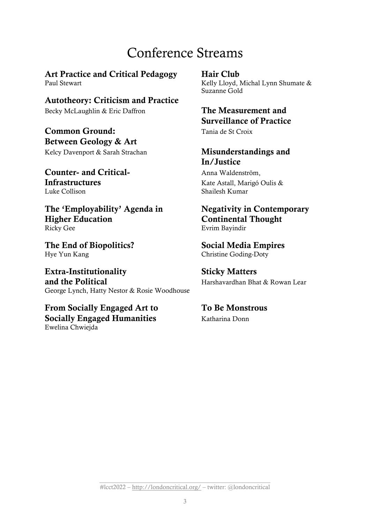# Conference Streams

Art Practice and Critical Pedagogy Hair Club Paul Stewart Kelly Lloyd, Michal Lynn Shumate &

Autotheory: Criticism and Practice Becky McLaughlin & Eric Daffron The Measurement and

**Common Ground:** Tania de St Croix Between Geology & Art

Counter- and Critical- Anna Waldenström, Infrastructures Kate Astall, Marigó Oulis & Luke Collison Shailesh Kumar

The 'Employability' Agenda in Negativity in Contemporary Higher Education Continental Thought Ricky Gee Evrim Bayindir

The End of Biopolitics? Social Media Empires Hye Yun Kang Christine Goding-Doty

Extra-Institutionality Sticky Matters **and the Political** The Harshavardhan Bhat & Rowan Lear George Lynch, Hatty Nestor & Rosie Woodhouse

From Socially Engaged Art to To Be Monstrous **Socially Engaged Humanities** Katharina Donn Ewelina Chwiejda

Suzanne Gold

Surveillance of Practice

# Kelcy Davenport & Sarah Strachan Misunderstandings and In/Justice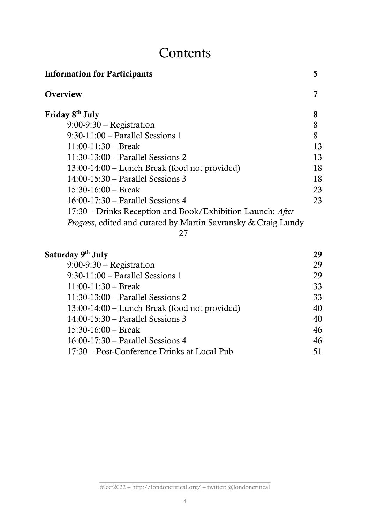# **Contents**

| <b>Information for Participants</b>                                    | 5  |
|------------------------------------------------------------------------|----|
| Overview                                                               | 7  |
| Friday 8 <sup>th</sup> July                                            | 8  |
| $9:00-9:30$ – Registration                                             | 8  |
| $9:30-11:00$ – Parallel Sessions 1                                     | 8  |
| $11:00-11:30$ – Break                                                  | 13 |
| $11:30-13:00$ – Parallel Sessions 2                                    | 13 |
| 13:00-14:00 – Lunch Break (food not provided)                          | 18 |
| $14:00-15:30$ – Parallel Sessions 3                                    | 18 |
| $15:30-16:00$ – Break                                                  | 23 |
| $16:00-17:30$ – Parallel Sessions 4                                    | 23 |
| 17:30 – Drinks Reception and Book/Exhibition Launch: After             |    |
| <i>Progress</i> , edited and curated by Martin Savransky & Craig Lundy |    |
| 27                                                                     |    |
| Saturday 9 <sup>th</sup> July                                          | 29 |
| $9:00-9:30$ – Registration                                             | 29 |
| $9:30-11:00$ – Parallel Sessions 1                                     | 29 |
| $11:00-11:30$ – Break                                                  | 33 |
| $11:30-13:00$ – Parallel Sessions 2                                    | 33 |

13:00-14:00 – Lunch Break (food not provided) 40 14:00-15:30 – Parallel Sessions 3 40 15:30-16:00 – Break 46 16:00-17:30 – Parallel Sessions 4 46 17:30 – Post-Conference Drinks at Local Pub 51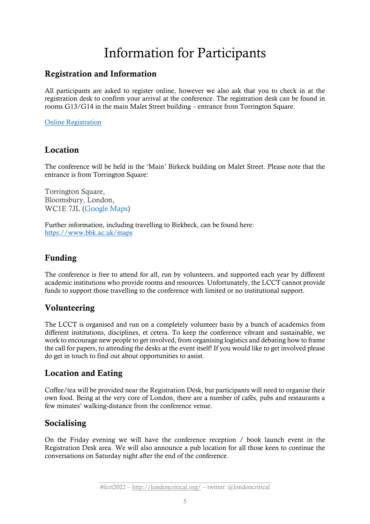# Information for Participants

# Registration and Information

All participants are asked to register online, however we also ask that you to check in at the registration desk to confirm your arrival at the conference. The registration desk can be found in rooms G13/G14 in the main Malet Street building – entrance from Torrington Square.

[Online Registration](https://www.bbk.ac.uk/events/remote_event_view?id=32092)

# Location

The conference will be held in the 'Main' Birkeck building on Malet Street. Please note that the entrance is from Torrington Square:

Torrington Square, Bloomsbury, London, WC1E 7JL [\(Google Maps\)](https://www.google.com/maps/place/Torrington+Square,+Bloomsbury,+London+WC1E+7JL/@51.5223567,-0.1320377,17z/data=!3m1!4b1!4m5!3m4!1s0x48761b2e31b1aab3:0x42170d989c791143!8m2!3d51.5223534!4d-0.129849)

Further information, including travelling to Birkbeck, can be found here: <https://www.bbk.ac.uk/maps>

# Funding

The conference is free to attend for all, run by volunteers, and supported each year by different academic institutions who provide rooms and resources. Unfortunately, the LCCT cannot provide funds to support those travelling to the conference with limited or no institutional support.

# Volunteering

The LCCT is organised and run on a completely volunteer basis by a bunch of academics from different institutions, disciplines, et cetera. To keep the conference vibrant and sustainable, we work to encourage new people to get involved, from organising logistics and debating how to frame the call for papers, to attending the desks at the event itself! If you would like to get involved please do get in touch to find out about opportunities to assist.

# Location and Eating

Coffee/tea will be provided near the Registration Desk, but participants will need to organise their own food. Being at the very core of London, there are a number of cafés, pubs and restaurants a few minutes' walking-distance from the conference venue.

# Socialising

On the Friday evening we will have the conference reception / book launch event in the Registration Desk area. We will also announce a pub location for all those keen to continue the conversations on Saturday night after the end of the conference.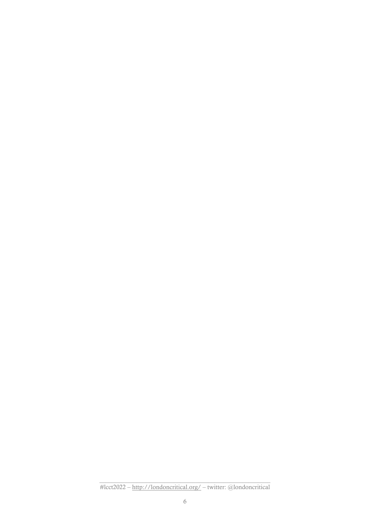\_\_\_\_\_\_\_\_\_\_\_\_\_\_\_\_\_\_\_\_\_\_\_\_\_\_\_\_\_\_\_\_\_\_\_\_\_\_\_\_\_\_\_\_\_\_\_\_\_\_\_\_\_\_\_ #lcct2022 – <http://londoncritical.org/> – twitter: @londoncritical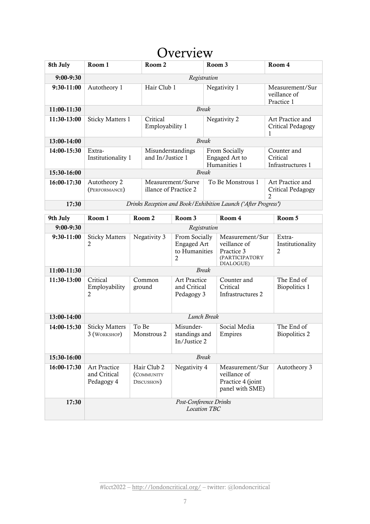# **Overview**

| 8th July    | Room 1                                                         |                                 | Room <sub>2</sub>                        |                                                           | Room 3                                          |                                                                              | Room 4                                                  |                                 |  |
|-------------|----------------------------------------------------------------|---------------------------------|------------------------------------------|-----------------------------------------------------------|-------------------------------------------------|------------------------------------------------------------------------------|---------------------------------------------------------|---------------------------------|--|
| $9:00-9:30$ | Registration                                                   |                                 |                                          |                                                           |                                                 |                                                                              |                                                         |                                 |  |
| 9:30-11:00  | Autotheory 1                                                   |                                 | Hair Club 1                              |                                                           | Negativity 1                                    |                                                                              | Measurement/Sur<br>veillance of<br>Practice 1           |                                 |  |
| 11:00-11:30 | <b>Break</b>                                                   |                                 |                                          |                                                           |                                                 |                                                                              |                                                         |                                 |  |
| 11:30-13:00 | <b>Sticky Matters 1</b>                                        |                                 | Critical<br>Employability 1              |                                                           | Negativity 2                                    |                                                                              | Art Practice and<br>Critical Pedagogy<br>1              |                                 |  |
| 13:00-14:00 | <b>Break</b>                                                   |                                 |                                          |                                                           |                                                 |                                                                              |                                                         |                                 |  |
| 14:00-15:30 | Extra-<br>Institutionality 1                                   |                                 | Misunderstandings<br>and In/Justice 1    |                                                           | From Socially<br>Engaged Art to<br>Humanities 1 |                                                                              | Counter and<br>Critical<br>Infrastructures 1            |                                 |  |
| 15:30-16:00 | <b>Break</b>                                                   |                                 |                                          |                                                           |                                                 |                                                                              |                                                         |                                 |  |
| 16:00-17:30 | Autotheory 2<br>(PERFORMANCE)                                  |                                 |                                          | Measurement/Surve<br>illance of Practice 2                |                                                 | To Be Monstrous 1                                                            | Art Practice and<br>Critical Pedagogy<br>$\mathfrak{D}$ |                                 |  |
| 17:30       | Drinks Reception and Book/Exhibition Launch ('After Progress') |                                 |                                          |                                                           |                                                 |                                                                              |                                                         |                                 |  |
| 9th July    | Room 1                                                         |                                 | Room <sub>2</sub>                        | Room 3                                                    |                                                 | Room 4                                                                       |                                                         | Room 5                          |  |
| $9:00-9:30$ | Registration                                                   |                                 |                                          |                                                           |                                                 |                                                                              |                                                         |                                 |  |
| 9:30-11:00  | <b>Sticky Matters</b><br>2                                     | Negativity 3                    |                                          | From Socially<br><b>Engaged Art</b><br>to Humanities<br>2 |                                                 | Measurement/Sur<br>veillance of<br>Practice 3<br>(PARTICIPATORY<br>DIALOGUE) |                                                         | Extra-<br>Institutionality<br>2 |  |
| 11:00-11:30 | <b>Break</b>                                                   |                                 |                                          |                                                           |                                                 |                                                                              |                                                         |                                 |  |
| 11:30-13:00 | Critical<br>Employability<br>2                                 | Common<br>ground                |                                          | <b>Art Practice</b><br>and Critical<br>Pedagogy 3         |                                                 | Counter and<br>Critical<br>Infrastructures 2                                 |                                                         | The End of<br>Biopolitics 1     |  |
| 13:00-14:00 | Lunch Break                                                    |                                 |                                          |                                                           |                                                 |                                                                              |                                                         |                                 |  |
| 14:00-15:30 | <b>Sticky Matters</b><br>3 (WORKSHOP)                          | To Be<br>Monstrous <sub>2</sub> |                                          | Misunder-<br>standings and<br>In/Justice 2                |                                                 | Social Media<br>Empires                                                      |                                                         | The End of<br>Biopolitics 2     |  |
| 15:30-16:00 | <b>Break</b>                                                   |                                 |                                          |                                                           |                                                 |                                                                              |                                                         |                                 |  |
| 16:00-17:30 | <b>Art Practice</b><br>and Critical<br>Pedagogy 4              |                                 | Hair Club 2<br>(COMMUNITY<br>DISCUSSION) | Negativity 4                                              |                                                 | Measurement/Sur<br>veillance of<br>Practice 4 (joint<br>panel with SME)      |                                                         | Autotheory 3                    |  |
| 17:30       | Post-Conference Drinks<br>Location TBC                         |                                 |                                          |                                                           |                                                 |                                                                              |                                                         |                                 |  |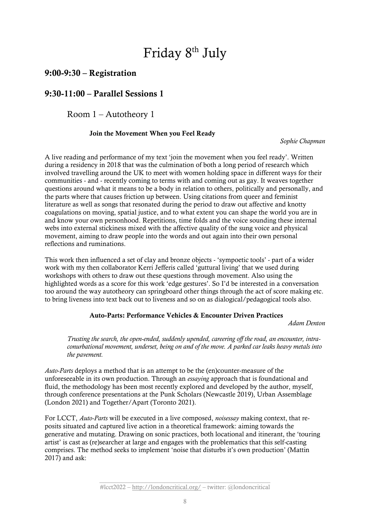# Friday 8<sup>th</sup> July

# 9:00-9:30 – Registration

# 9:30-11:00 – Parallel Sessions 1

Room 1 – Autotheory 1

# Join the Movement When you Feel Ready

*Sophie Chapman*

A live reading and performance of my text 'join the movement when you feel ready'. Written during a residency in 2018 that was the culmination of both a long period of research which involved travelling around the UK to meet with women holding space in different ways for their communities - and - recently coming to terms with and coming out as gay. It weaves together questions around what it means to be a body in relation to others, politically and personally, and the parts where that causes friction up between. Using citations from queer and feminist literature as well as songs that resonated during the period to draw out affective and knotty coagulations on moving, spatial justice, and to what extent you can shape the world you are in and know your own personhood. Repetitions, time folds and the voice sounding these internal webs into external stickiness mixed with the affective quality of the sung voice and physical movement, aiming to draw people into the words and out again into their own personal reflections and ruminations.

This work then influenced a set of clay and bronze objects - 'sympoetic tools' - part of a wider work with my then collaborator Kerri Jefferis called 'guttural living' that we used during workshops with others to draw out these questions through movement. Also using the highlighted words as a score for this work 'edge gestures'. So I'd be interested in a conversation too around the way autotheory can springboard other things through the act of score making etc. to bring liveness into text back out to liveness and so on as dialogical/pedagogical tools also.

## Auto-Parts: Performance Vehicles & Encounter Driven Practices

*Adam Denton*

*Trusting the search, the open-ended, suddenly upended, careering off the road, an encounter, intraconurbational movement, underset, being on and of the move. A parked car leaks heavy metals into the pavement.* 

*Auto-Parts* deploys a method that is an attempt to be the (en)counter-measure of the unforeseeable in its own production. Through an *essaying* approach that is foundational and fluid, the methodology has been most recently explored and developed by the author, myself, through conference presentations at the Punk Scholars (Newcastle 2019), Urban Assemblage (London 2021) and Together/Apart (Toronto 2021).

For LCCT, *Auto-Parts* will be executed in a live composed, *noisessay* making context, that reposits situated and captured live action in a theoretical framework: aiming towards the generative and mutating. Drawing on sonic practices, both locational and itinerant, the 'touring artist' is cast as (re)searcher at large and engages with the problematics that this self-casting comprises. The method seeks to implement 'noise that disturbs it's own production' (Mattin 2017) and ask: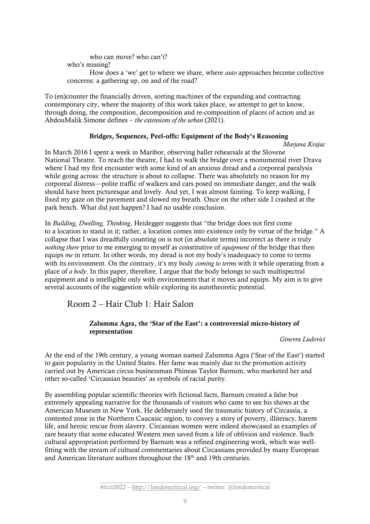who can move? who can't?

who's missing?

How does a 'we' get to where we share, where *auto* approaches become collective concerns: a gathering up, on and of the road?

To (en)counter the financially driven, sorting machines of the expanding and contracting contemporary city, where the majority of this work takes place, *we* attempt to get to know, through doing, the composition, decomposition and re-composition of places of action and as AbdouMalik Simone defines – *the extensions of the urban* (2021).

# Bridges, Sequences, Peel-offs: Equipment of the Body's Reasoning

*Marjana Krajac*

In March 2016 I spent a week in Maribor, observing ballet rehearsals at the Slovene National Theatre. To reach the theatre, I had to walk the bridge over a monumental river Drava where I had my first encounter with some kind of an anxious dread and a corporeal paralysis while going across: the structure is about to collapse. There was absolutely no reason for my corporeal distress—polite traffic of walkers and cars posed no immediate danger, and the walk should have been picturesque and lovely. And yet, I was almost fainting. To keep walking, I fixed my gaze on the pavement and slowed my breath. Once on the other side I crashed at the park bench. What did just happen? I had no usable conclusion.

In *Building, Dwelling, Thinking*, Heidegger suggests that "the bridge does not first come to a location to stand in it; rather, a location comes into existence only by virtue of the bridge." A collapse that I was dreadfully counting on is not (in absolute terms) incorrect as there is truly *nothing there* prior to me emerging to myself as constitutive of *equipment* of the bridge that then equips *me* in return. In other words, my dread is not my body's inadequacy to come to terms with its environment. On the contrary, it's my body *coming to terms* with it while operating from a place of *a body*. In this paper, therefore, I argue that the body belongs to such multispectral equipment and is intelligible only with environments that it moves and equips. My aim is to give several accounts of the suggestion while exploring its autotheoretic potential.

# Room 2 – Hair Club 1: Hair Salon

## Zalumma Agra, the 'Star of the East': a controversial micro-history of representation

*Ginevra Ludovici*

At the end of the 19th century, a young woman named Zalumma Agra ('Star of the East') started to gain popularity in the United States. Her fame was mainly due to the promotion activity carried out by American circus businessman Phineas Taylor Barnum, who marketed her and other so-called 'Circassian beauties' as symbols of racial purity.

By assembling popular scientific theories with fictional facts, Barnum created a false but extremely appealing narrative for the thousands of visitors who came to see his shows at the American Museum in New York. He deliberately used the traumatic history of Circassia, a contested zone in the Northern Caucasic region, to convey a story of poverty, illiteracy, harem life, and heroic rescue from slavery. Circassian women were indeed showcased as examples of rare beauty that some educated Western men saved from a life of oblivion and violence. Such cultural appropriation performed by Barnum was a refined engineering work, which was wellfitting with the stream of cultural commentaries about Circassians provided by many European and American literature authors throughout the 18th and 19th centuries.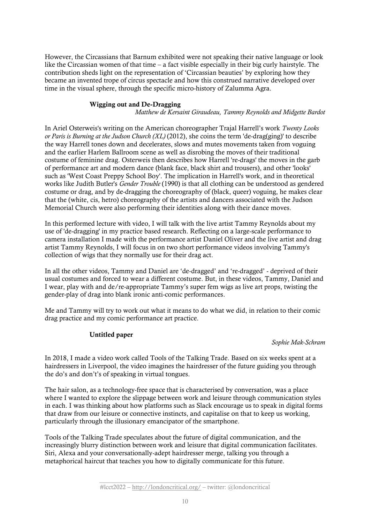However, the Circassians that Barnum exhibited were not speaking their native language or look like the Circassian women of that time – a fact visible especially in their big curly hairstyle. The contribution sheds light on the representation of 'Circassian beauties' by exploring how they became an invented trope of circus spectacle and how this construed narrative developed over time in the visual sphere, through the specific micro-history of Zalumma Agra.

#### Wigging out and De-Dragging

*Matthew de Kersaint Giraudeau, Tammy Reynolds and Midgette Bardot*

In Ariel Osterweis's writing on the American choreographer Trajal Harrell's work *Twenty Looks or Paris is Burning at the Judson Church (XL)* (2012), she coins the term 'de-drag(ging)' to describe the way Harrell tones down and decelerates, slows and mutes movements taken from voguing and the earlier Harlem Ballroom scene as well as disrobing the moves of their traditional costume of feminine drag. Osterweis then describes how Harrell 're-drags' the moves in the garb of performance art and modern dance (blank face, black shirt and trousers), and other 'looks' such as 'West Coast Preppy School Boy'. The implication in Harrell's work, and in theoretical works like Judith Butler's *Gender Trouble* (1990) is that all clothing can be understood as gendered costume or drag, and by de-dragging the choreography of (black, queer) voguing, he makes clear that the (white, cis, hetro) choreography of the artists and dancers associated with the Judson Memorial Church were also performing their identities along with their dance moves.

In this performed lecture with video, I will talk with the live artist Tammy Reynolds about my use of 'de-dragging' in my practice based research. Reflecting on a large-scale performance to camera installation I made with the performance artist Daniel Oliver and the live artist and drag artist Tammy Reynolds, I will focus in on two short performance videos involving Tammy's collection of wigs that they normally use for their drag act.

In all the other videos, Tammy and Daniel are 'de-dragged' and 're-dragged' - deprived of their usual costumes and forced to wear a different costume. But, in these videos, Tammy, Daniel and I wear, play with and de/re-appropriate Tammy's super fem wigs as live art props, twisting the gender-play of drag into blank ironic anti-comic performances.

Me and Tammy will try to work out what it means to do what we did, in relation to their comic drag practice and my comic performance art practice.

## Untitled paper

#### *Sophie Mak-Schram*

In 2018, I made a video work called Tools of the Talking Trade. Based on six weeks spent at a hairdressers in Liverpool, the video imagines the hairdresser of the future guiding you through the do's and don't's of speaking in virtual tongues.

The hair salon, as a technology-free space that is characterised by conversation, was a place where I wanted to explore the slippage between work and leisure through communication styles in each. I was thinking about how platforms such as Slack encourage us to speak in digital forms that draw from our leisure or connective instincts, and capitalise on that to keep us working, particularly through the illusionary emancipator of the smartphone.

Tools of the Talking Trade speculates about the future of digital communication, and the increasingly blurry distinction between work and leisure that digital communication facilitates. Siri, Alexa and your conversationally-adept hairdresser merge, talking you through a metaphorical haircut that teaches you how to digitally communicate for this future.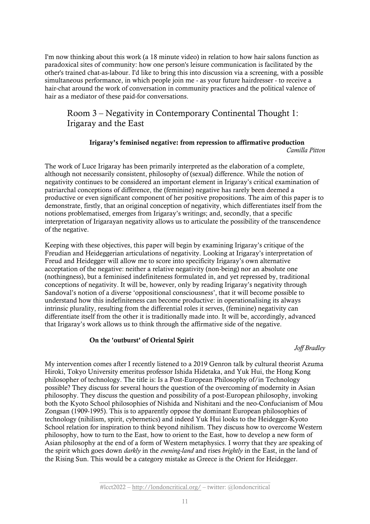I'm now thinking about this work (a 18 minute video) in relation to how hair salons function as paradoxical sites of community: how one person's leisure communication is facilitated by the other's trained chat-as-labour. I'd like to bring this into discussion via a screening, with a possible simultaneous performance, in which people join me - as your future hairdresser - to receive a hair-chat around the work of conversation in community practices and the political valence of hair as a mediator of these paid-for conversations.

# Room 3 – Negativity in Contemporary Continental Thought 1: Irigaray and the East

#### Irigaray's feminised negative: from repression to affirmative production *Camilla Pitton*

The work of Luce Irigaray has been primarily interpreted as the elaboration of a complete, although not necessarily consistent, philosophy of (sexual) difference. While the notion of negativity continues to be considered an important element in Irigaray's critical examination of patriarchal conceptions of difference, the (feminine) negative has rarely been deemed a productive or even significant component of her positive propositions. The aim of this paper is to demonstrate, firstly, that an original conception of negativity, which differentiates itself from the notions problematised, emerges from Irigaray's writings; and, secondly, that a specific interpretation of Irigarayan negativity allows us to articulate the possibility of the transcendence of the negative.

Keeping with these objectives, this paper will begin by examining Irigaray's critique of the Freudian and Heideggerian articulations of negativity. Looking at Irigaray's interpretation of Freud and Heidegger will allow me to score into specificity Irigaray's own alternative acceptation of the negative: neither a relative negativity (non-being) nor an absolute one (nothingness), but a feminised indefiniteness formulated in, and yet repressed by, traditional conceptions of negativity. It will be, however, only by reading Irigaray's negativity through Sandoval's notion of a diverse 'oppositional consciousness', that it will become possible to understand how this indefiniteness can become productive: in operationalising its always intrinsic plurality, resulting from the differential roles it serves, (feminine) negativity can differentiate itself from the other it is traditionally made into. It will be, accordingly, advanced that Irigaray's work allows us to think through the affirmative side of the negative.

## On the 'outburst' of Oriental Spirit

*Joff Bradley*

My intervention comes after I recently listened to a 2019 Genron talk by cultural theorist Azuma Hiroki, Tokyo University emeritus professor Ishida Hidetaka, and Yuk Hui, the Hong Kong philosopher of technology. The title is: Is a Post-European Philosophy of/in Technology possible? They discuss for several hours the question of the overcoming of modernity in Asian philosophy. They discuss the question and possibility of a post-European philosophy, invoking both the Kyoto School philosophies of Nishida and Nishitani and the neo-Confucianism of Mou Zongsan (1909-1995). This is to apparently oppose the dominant European philosophies of technology (nihilism, spirit, cybernetics) and indeed Yuk Hui looks to the Heidegger-Kyoto School relation for inspiration to think beyond nihilism. They discuss how to overcome Western philosophy, how to turn to the East, how to orient to the East, how to develop a new form of Asian philosophy at the end of a form of Western metaphysics. I worry that they are speaking of the spirit which goes down *darkly* in the *evening-land* and rises *brightly* in the East, in the land of the Rising Sun. This would be a category mistake as Greece is the Orient for Heidegger.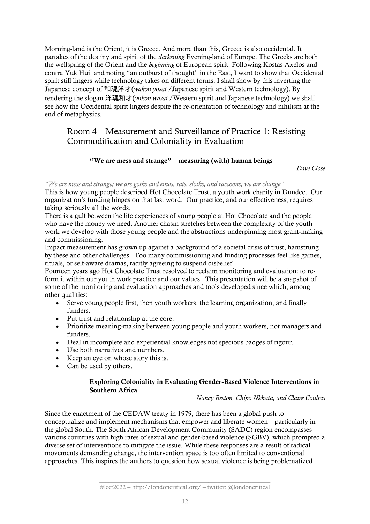Morning-land is the Orient, it is Greece. And more than this, Greece is also occidental. It partakes of the destiny and spirit of the *darkening* Evening-land of Europe. The Greeks are both the wellspring of the Orient and the *beginning* of European spirit. Following Kostas Axelos and contra Yuk Hui, and noting "an outburst of thought" in the East, I want to show that Occidental spirit still lingers while technology takes on different forms. I shall show by this inverting the Japanese concept of 和魂洋才(*wakon yōsai* /Japanese spirit and Western technology). By rendering the slogan 洋魂和才(*yōkon wasai* /Western spirit and Japanese technology) we shall see how the Occidental spirit lingers despite the re-orientation of technology and nihilism at the end of metaphysics.

# Room 4 – Measurement and Surveillance of Practice 1: Resisting Commodification and Coloniality in Evaluation

## "We are mess and strange" – measuring (with) human beings

*Dave Close*

*"We are mess and strange; we are goths and emos, rats, sloths, and raccoons; we are change"*

This is how young people described Hot Chocolate Trust, a youth work charity in Dundee. Our organization's funding hinges on that last word. Our practice, and our effectiveness, requires taking seriously all the words.

There is a gulf between the life experiences of young people at Hot Chocolate and the people who have the money we need. Another chasm stretches between the complexity of the youth work we develop with those young people and the abstractions underpinning most grant-making and commissioning.

Impact measurement has grown up against a background of a societal crisis of trust, hamstrung by these and other challenges. Too many commissioning and funding processes feel like games, rituals, or self-aware dramas, tacitly agreeing to suspend disbelief.

Fourteen years ago Hot Chocolate Trust resolved to reclaim monitoring and evaluation: to reform it within our youth work practice and our values. This presentation will be a snapshot of some of the monitoring and evaluation approaches and tools developed since which, among other qualities:

- Serve young people first, then youth workers, the learning organization, and finally funders.
- Put trust and relationship at the core.
- Prioritize meaning-making between young people and youth workers, not managers and funders.
- Deal in incomplete and experiential knowledges not specious badges of rigour.
- Use both narratives and numbers.
- Keep an eye on whose story this is.
- Can be used by others.

#### Exploring Coloniality in Evaluating Gender-Based Violence Interventions in Southern Africa

*Nancy Breton, Chipo Nkhata, and Claire Coultas*

Since the enactment of the CEDAW treaty in 1979, there has been a global push to conceptualize and implement mechanisms that empower and liberate women – particularly in the global South. The South African Development Community (SADC) region encompasses various countries with high rates of sexual and gender-based violence (SGBV), which prompted a diverse set of interventions to mitigate the issue. While these responses are a result of radical movements demanding change, the intervention space is too often limited to conventional approaches. This inspires the authors to question how sexual violence is being problematized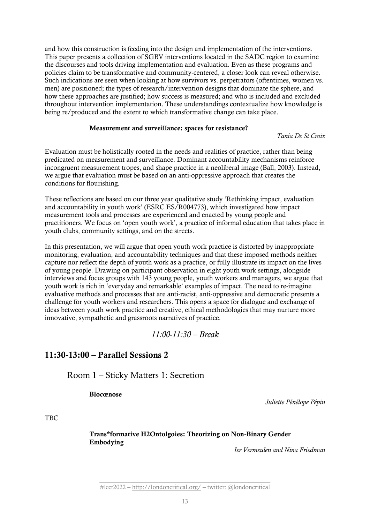and how this construction is feeding into the design and implementation of the interventions. This paper presents a collection of SGBV interventions located in the SADC region to examine the discourses and tools driving implementation and evaluation. Even as these programs and policies claim to be transformative and community-centered, a closer look can reveal otherwise. Such indications are seen when looking at how survivors vs. perpetrators (oftentimes, women vs. men) are positioned; the types of research/intervention designs that dominate the sphere, and how these approaches are justified; how success is measured; and who is included and excluded throughout intervention implementation. These understandings contextualize how knowledge is being re/produced and the extent to which transformative change can take place.

#### Measurement and surveillance: spaces for resistance?

*Tania De St Croix*

Evaluation must be holistically rooted in the needs and realities of practice, rather than being predicated on measurement and surveillance. Dominant accountability mechanisms reinforce incongruent measurement tropes, and shape practice in a neoliberal image (Ball, 2003). Instead, we argue that evaluation must be based on an anti-oppressive approach that creates the conditions for flourishing.

These reflections are based on our three year qualitative study 'Rethinking impact, evaluation and accountability in youth work' (ESRC ES/R004773), which investigated how impact measurement tools and processes are experienced and enacted by young people and practitioners. We focus on 'open youth work', a practice of informal education that takes place in youth clubs, community settings, and on the streets.

In this presentation, we will argue that open youth work practice is distorted by inappropriate monitoring, evaluation, and accountability techniques and that these imposed methods neither capture nor reflect the depth of youth work as a practice, or fully illustrate its impact on the lives of young people. Drawing on participant observation in eight youth work settings, alongside interviews and focus groups with 143 young people, youth workers and managers, we argue that youth work is rich in 'everyday and remarkable' examples of impact. The need to re-imagine evaluative methods and processes that are anti-racist, anti-oppressive and democratic presents a challenge for youth workers and researchers. This opens a space for dialogue and exchange of ideas between youth work practice and creative, ethical methodologies that may nurture more innovative, sympathetic and grassroots narratives of practice.

# *11:00-11:30 – Break*

# 11:30-13:00 – Parallel Sessions 2

Room 1 – Sticky Matters 1: Secretion

Biocœnose

*Juliette Pénélope Pépin*

TBC

Trans\*formative H2Ontolgoies: Theorizing on Non-Binary Gender Embodying

*Ier Vermeulen and Nina Friedman*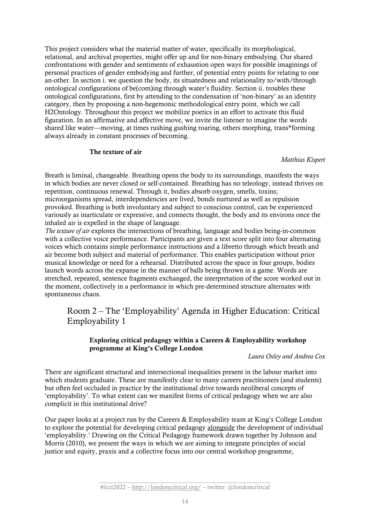This project considers what the material matter of water, specifically its morphological, relational, and archival properties, might offer up and for non-binary embodying. Our shared confrontations with gender and sentiments of exhaustion open ways for possible imaginings of personal practices of gender embodying and further, of potential entry points for relating to one an-other. In section i. we question the body, its situatedness and relationality to/with/through ontological configurations of be(com)ing through water's fluidity. Section ii. troubles these ontological configurations, first by attending to the condensation of 'non-binary' as an identity category, then by proposing a non-hegemonic methodological entry point, which we call H2Ontology. Throughout this project we mobilize poetics in an effort to activate this fluid figuration. In an affirmative and affective move, we invite the listener to imagine the words shared like water—moving, at times rushing gushing roaring, others morphing, trans\*forming always already in constant processes of becoming.

## The texture of air

*Matthias Kispert*

Breath is liminal, changeable. Breathing opens the body to its surroundings, manifests the ways in which bodies are never closed or self-contained. Breathing has no teleology, instead thrives on repetition, continuous renewal. Through it, bodies absorb oxygen, smells, toxins; microorganisms spread, interdependencies are lived, bonds nurtured as well as repulsion provoked. Breathing is both involuntary and subject to conscious control, can be experienced variously as inarticulate or expressive, and connects thought, the body and its environs once the inhaled air is expelled in the shape of language.

*The texture of air* explores the intersections of breathing, language and bodies being-in-common with a collective voice performance. Participants are given a text score split into four alternating voices which contains simple performance instructions and a libretto through which breath and air become both subject and material of performance. This enables participation without prior musical knowledge or need for a rehearsal. Distributed across the space in four groups, bodies launch words across the expanse in the manner of balls being thrown in a game. Words are stretched, repeated, sentence fragments exchanged, the interpretation of the score worked out in the moment, collectively in a performance in which pre-determined structure alternates with spontaneous chaos.

# Room 2 – The 'Employability' Agenda in Higher Education: Critical Employability 1

# Exploring critical pedagogy within a Careers & Employability workshop programme at King's College London

*Laura Oxley and Andrea Cox*

There are significant structural and intersectional inequalities present in the labour market into which students graduate. These are manifestly clear to many careers practitioners (and students) but often feel occluded in practice by the institutional drive towards neoliberal concepts of 'employability'. To what extent can we manifest forms of critical pedagogy when we are also complicit in this institutional drive?

Our paper looks at a project run by the Careers & Employability team at King's College London to explore the potential for developing critical pedagogy alongside the development of individual 'employability.' Drawing on the Critical Pedagogy framework drawn together by Johnson and Morris (2010), we present the ways in which we are aiming to integrate principles of social justice and equity, praxis and a collective focus into our central workshop programme,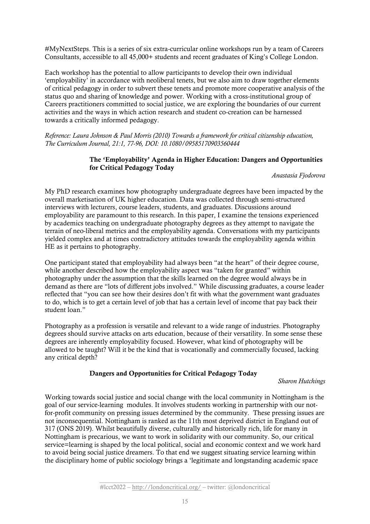#MyNextSteps. This is a series of six extra-curricular online workshops run by a team of Careers Consultants, accessible to all 45,000+ students and recent graduates of King's College London.

Each workshop has the potential to allow participants to develop their own individual 'employability' in accordance with neoliberal tenets, but we also aim to draw together elements of critical pedagogy in order to subvert these tenets and promote more cooperative analysis of the status quo and sharing of knowledge and power. Working with a cross-institutional group of Careers practitioners committed to social justice, we are exploring the boundaries of our current activities and the ways in which action research and student co-creation can be harnessed towards a critically informed pedagogy.

*Reference: Laura Johnson & Paul Morris (2010) Towards a framework for critical citizenship education, The Curriculum Journal, 21:1, 77-96, DOI: 10.1080/09585170903560444*

#### The 'Employability' Agenda in Higher Education: Dangers and Opportunities for Critical Pedagogy Today

*Anastasia Fjodorova*

My PhD research examines how photography undergraduate degrees have been impacted by the overall marketisation of UK higher education. Data was collected through semi-structured interviews with lecturers, course leaders, students, and graduates. Discussions around employability are paramount to this research. In this paper, I examine the tensions experienced by academics teaching on undergraduate photography degrees as they attempt to navigate the terrain of neo-liberal metrics and the employability agenda. Conversations with my participants yielded complex and at times contradictory attitudes towards the employability agenda within HE as it pertains to photography.

One participant stated that employability had always been "at the heart" of their degree course, while another described how the employability aspect was "taken for granted" within photography under the assumption that the skills learned on the degree would always be in demand as there are "lots of different jobs involved." While discussing graduates, a course leader reflected that "you can see how their desires don't fit with what the government want graduates to do, which is to get a certain level of job that has a certain level of income that pay back their student loan."

Photography as a profession is versatile and relevant to a wide range of industries. Photography degrees should survive attacks on arts education, because of their versatility. In some sense these degrees are inherently employability focused. However, what kind of photography will be allowed to be taught? Will it be the kind that is vocationally and commercially focused, lacking any critical depth?

#### Dangers and Opportunities for Critical Pedagogy Today

#### *Sharon Hutchings*

Working towards social justice and social change with the local community in Nottingham is the goal of our service-learning modules. It involves students working in partnership with our notfor-profit community on pressing issues determined by the community. These pressing issues are not inconsequential. Nottingham is ranked as the 11th most deprived district in England out of 317 (ONS 2019). Whilst beautifully diverse, culturally and historically rich, life for many in Nottingham is precarious, we want to work in solidarity with our community. So, our critical service=learning is shaped by the local political, social and economic context and we work hard to avoid being social justice dreamers. To that end we suggest situating service learning within the disciplinary home of public sociology brings a 'legitimate and longstanding academic space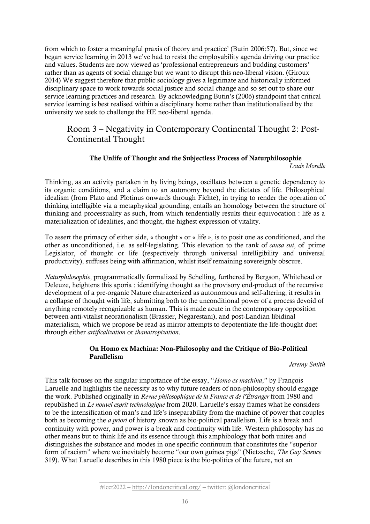from which to foster a meaningful praxis of theory and practice' (Butin 2006:57). But, since we began service learning in 2013 we've had to resist the employability agenda driving our practice and values. Students are now viewed as 'professional entrepreneurs and budding customers' rather than as agents of social change but we want to disrupt this neo-liberal vision. (Giroux 2014) We suggest therefore that public sociology gives a legitimate and historically informed disciplinary space to work towards social justice and social change and so set out to share our service learning practices and research. By acknowledging Butin's (2006) standpoint that critical service learning is best realised within a disciplinary home rather than institutionalised by the university we seek to challenge the HE neo-liberal agenda.

# Room 3 – Negativity in Contemporary Continental Thought 2: Post-Continental Thought

#### The Unlife of Thought and the Subjectless Process of Naturphilosophie *Louis Morelle*

Thinking, as an activity partaken in by living beings, oscillates between a genetic dependency to its organic conditions, and a claim to an autonomy beyond the dictates of life. Philosophical idealism (from Plato and Plotinus onwards through Fichte), in trying to render the operation of thinking intelligible via a metaphysical grounding, entails an homology between the structure of thinking and processuality as such, from which tendentially results their equivocation : life as a materialization of idealities, and thought, the highest expression of vitality.

To assert the primacy of either side, « thought » or « life », is to posit one as conditioned, and the other as unconditioned, i.e. as self-legislating. This elevation to the rank of *causa sui*, of prime Legislator, of thought or life (respectively through universal intelligibility and universal productivity), suffuses being with affirmation, whilst itself remaining sovereignly obscure.

*Naturphilosophie*, programmatically formalized by Schelling, furthered by Bergson, Whitehead or Deleuze, heightens this aporia : identifying thought as the provisory end-product of the recursive development of a pre-organic Nature characterized as autonomous and self-altering, it results in a collapse of thought with life, submitting both to the unconditional power of a process devoid of anything remotely recognizable as human. This is made acute in the contemporary opposition between anti-vitalist neorationalism (Brassier, Negarestani), and post-Landian libidinal materialism, which we propose be read as mirror attempts to depotentiate the life-thought duet through either *artificalization* or *thanatropization*.

## On Homo ex Machina: Non-Philosophy and the Critique of Bio-Political Parallelism

#### *Jeremy Smith*

This talk focuses on the singular importance of the essay, "*Homo ex machina*," by François Laruelle and highlights the necessity as to why future readers of non-philosophy should engage the work. Published originally in *Revue philosophique de la France et de l'Étranger* from 1980 and republished in *Le nouvel esprit technologique* from 2020, Laruelle's essay frames what he considers to be the intensification of man's and life's inseparability from the machine of power that couples both as becoming the *a priori* of history known as bio-political parallelism. Life is a break and continuity with power, and power is a break and continuity with life. Western philosophy has no other means but to think life and its essence through this amphibology that both unites and distinguishes the substance and modes in one specific continuum that constitutes the "superior form of racism" where we inevitably become "our own guinea pigs" (Nietzsche, *The Gay Science* 319). What Laruelle describes in this 1980 piece is the bio-politics of the future, not an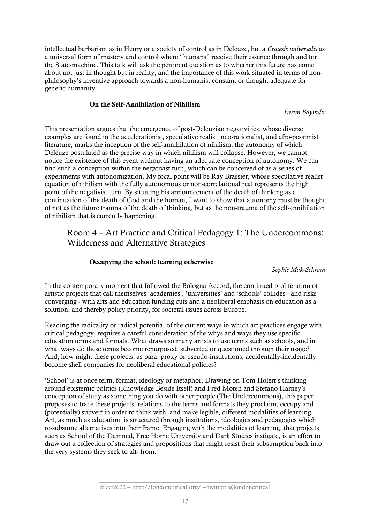intellectual barbarism as in Henry or a society of control as in Deleuze, but a *Cratesis universalis* as a universal form of mastery and control where "humans" receive their essence through and for the State-machine. This talk will ask the pertinent question as to whether this future has come about not just in thought but in reality, and the importance of this work situated in terms of nonphilosophy's inventive approach towards a non-humanist constant or thought adequate for generic humanity.

# On the Self-Annihilation of Nihilism

*Evrim Bayındır*

This presentation argues that the emergence of post-Deleuzian negativities, whose diverse examples are found in the accelerationist, speculative realist, neo-rationalist, and afro-pessimist literature, marks the inception of the self-annihilation of nihilism, the autonomy of which Deleuze postulated as the precise way in which nihilism will collapse. However, we cannot notice the existence of this event without having an adequate conception of autonomy. We can find such a conception within the negativist turn, which can be conceived of as a series of experiments with autonomization. My focal point will be Ray Brassier, whose speculative realist equation of nihilism with the fully autonomous or non-correlational real represents the high point of the negativist turn. By situating his announcement of the death of thinking as a continuation of the death of God and the human, I want to show that autonomy must be thought of not as the future trauma of the death of thinking, but as the non-trauma of the self-annihilation of nihilism that is currently happening.

# Room 4 – Art Practice and Critical Pedagogy 1: The Undercommons: Wilderness and Alternative Strategies

# Occupying the school: learning otherwise

*Sophie Mak-Schram*

In the contemporary moment that followed the Bologna Accord, the continued proliferation of artistic projects that call themselves 'academies', 'universities' and 'schools' collides - and risks converging - with arts and education funding cuts and a neoliberal emphasis on education as a solution, and thereby policy priority, for societal issues across Europe.

Reading the radicality or radical potential of the current ways in which art practices engage with critical pedagogy, requires a careful consideration of the whys and ways they use specific education terms and formats. What draws so many artists to use terms such as schools, and in what ways do these terms become repurposed, subverted or questioned through their usage? And, how might these projects, as para, proxy or pseudo-institutions, accidentally-incidentally become shell companies for neoliberal educational policies?

'School' is at once term, format, ideology or metaphor. Drawing on Tom Holert's thinking around epistemic politics (Knowledge Beside Itself) and Fred Moten and Stefano Harney's conception of study as something you do with other people (The Undercommons), this paper proposes to trace these projects' relations to the terms and formats they proclaim, occupy and (potentially) subvert in order to think with, and make legible, different modalities of learning. Art, as much as education, is structured through institutions, ideologies and pedagogies which re-subsume alternatives into their frame. Engaging with the modalities of learning, that projects such as School of the Damned, Free Home University and Dark Studies instigate, is an effort to draw out a collection of strategies and propositions that might resist their subsumption back into the very systems they seek to alt- from.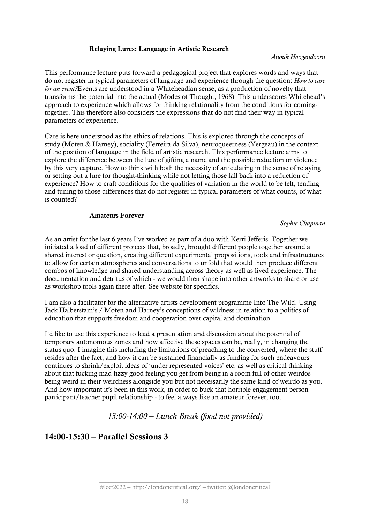## Relaying Lures: Language in Artistic Research

#### *Anouk Hoogendoorn*

This performance lecture puts forward a pedagogical project that explores words and ways that do not register in typical parameters of language and experience through the question: *How to care for an event?*Events are understood in a Whiteheadian sense, as a production of novelty that transforms the potential into the actual (Modes of Thought, 1968). This underscores Whitehead's approach to experience which allows for thinking relationality from the conditions for comingtogether. This therefore also considers the expressions that do not find their way in typical parameters of experience.

Care is here understood as the ethics of relations. This is explored through the concepts of study (Moten & Harney), sociality (Ferreira da Silva), neuroqueerness (Yergeau) in the context of the position of language in the field of artistic research. This performance lecture aims to explore the difference between the lure of gifting a name and the possible reduction or violence by this very capture. How to think with both the necessity of articulating in the sense of relaying or setting out a lure for thought-thinking while not letting those fall back into a reduction of experience? How to craft conditions for the qualities of variation in the world to be felt, tending and tuning to those differences that do not register in typical parameters of what counts, of what is counted?

#### Amateurs Forever

#### *Sophie Chapman*

As an artist for the last 6 years I've worked as part of a duo with Kerri Jefferis. Together we initiated a load of different projects that, broadly, brought different people together around a shared interest or question, creating different experimental propositions, tools and infrastructures to allow for certain atmospheres and conversations to unfold that would then produce different combos of knowledge and shared understanding across theory as well as lived experience. The documentation and detritus of which - we would then shape into other artworks to share or use as workshop tools again there after. See website for specifics.

I am also a facilitator for the alternative artists development programme Into The Wild. Using Jack Halberstam's / Moten and Harney's conceptions of wildness in relation to a politics of education that supports freedom and cooperation over capital and domination.

I'd like to use this experience to lead a presentation and discussion about the potential of temporary autonomous zones and how affective these spaces can be, really, in changing the status quo. I imagine this including the limitations of preaching to the converted, where the stuff resides after the fact, and how it can be sustained financially as funding for such endeavours continues to shrink/exploit ideas of 'under represented voices' etc. as well as critical thinking about that fucking mad fizzy good feeling you get from being in a room full of other weirdos being weird in their weirdness alongside you but not necessarily the same kind of weirdo as you. And how important it's been in this work, in order to buck that horrible engagement person participant/teacher pupil relationship - to feel always like an amateur forever, too.

*13:00-14:00 – Lunch Break (food not provided)*

# 14:00-15:30 – Parallel Sessions 3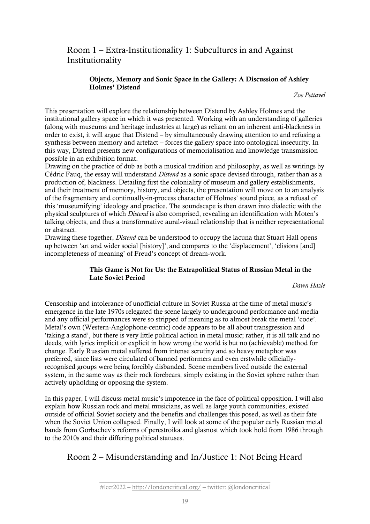# Room 1 – Extra-Institutionality 1: Subcultures in and Against Institutionality

# Objects, Memory and Sonic Space in the Gallery: A Discussion of Ashley Holmes' Distend

*Zoe Pettavel* 

This presentation will explore the relationship between Distend by Ashley Holmes and the institutional gallery space in which it was presented. Working with an understanding of galleries (along with museums and heritage industries at large) as reliant on an inherent anti-blackness in order to exist, it will argue that Distend – by simultaneously drawing attention to and refusing a synthesis between memory and artefact – forces the gallery space into ontological insecurity. In this way, Distend presents new configurations of memorialisation and knowledge transmission possible in an exhibition format.

Drawing on the practice of dub as both a musical tradition and philosophy, as well as writings by Cédric Fauq, the essay will understand *Distend* as a sonic space devised through, rather than as a production of, blackness. Detailing first the coloniality of museum and gallery establishments, and their treatment of memory, history, and objects, the presentation will move on to an analysis of the fragmentary and continually-in-process character of Holmes' sound piece, as a refusal of this 'museumifying' ideology and practice. The soundscape is then drawn into dialectic with the physical sculptures of which *Distend* is also comprised, revealing an identification with Moten's talking objects, and thus a transformative aural-visual relationship that is neither representational or abstract.

Drawing these together, *Distend* can be understood to occupy the lacuna that Stuart Hall opens up between 'art and wider social [history]', and compares to the 'displacement', 'elisions [and] incompleteness of meaning' of Freud's concept of dream-work.

## This Game is Not for Us: the Extrapolitical Status of Russian Metal in the Late Soviet Period

*Dawn Hazle*

Censorship and intolerance of unofficial culture in Soviet Russia at the time of metal music's emergence in the late 1970s relegated the scene largely to underground performance and media and any official performances were so stripped of meaning as to almost break the metal 'code'. Metal's own (Western-Anglophone-centric) code appears to be all about transgression and 'taking a stand', but there is very little political action in metal music; rather, it is all talk and no deeds, with lyrics implicit or explicit in how wrong the world is but no (achievable) method for change. Early Russian metal suffered from intense scrutiny and so heavy metaphor was preferred, since lists were circulated of banned performers and even erstwhile officiallyrecognised groups were being forcibly disbanded. Scene members lived outside the external system, in the same way as their rock forebears, simply existing in the Soviet sphere rather than actively upholding or opposing the system.

In this paper, I will discuss metal music's impotence in the face of political opposition. I will also explain how Russian rock and metal musicians, as well as large youth communities, existed outside of official Soviet society and the benefits and challenges this posed, as well as their fate when the Soviet Union collapsed. Finally, I will look at some of the popular early Russian metal bands from Gorbachev's reforms of perestroika and glasnost which took hold from 1986 through to the 2010s and their differing political statuses.

# Room 2 – Misunderstanding and In/Justice 1: Not Being Heard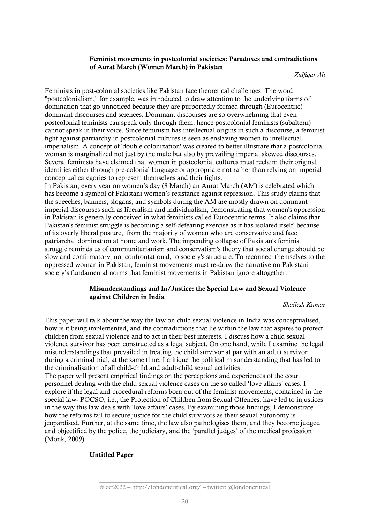#### Feminist movements in postcolonial societies: Paradoxes and contradictions of Aurat March (Women March) in Pakistan

*Zulfiqar Ali*

Feminists in post-colonial societies like Pakistan face theoretical challenges. The word "postcolonialism," for example, was introduced to draw attention to the underlying forms of domination that go unnoticed because they are purportedly formed through (Eurocentric) dominant discourses and sciences. Dominant discourses are so overwhelming that even postcolonial feminists can speak only through them; hence postcolonial feminists (subaltern) cannot speak in their voice. Since feminism has intellectual origins in such a discourse, a feminist fight against patriarchy in postcolonial cultures is seen as enslaving women to intellectual imperialism. A concept of 'double colonization' was created to better illustrate that a postcolonial woman is marginalized not just by the male but also by prevailing imperial skewed discourses. Several feminists have claimed that women in postcolonial cultures must reclaim their original identities either through pre-colonial language or appropriate not rather than relying on imperial conceptual categories to represent themselves and their fights.

In Pakistan, every year on women's day (8 March) an Aurat March (AM) is celebrated which has become a symbol of Pakistani women's resistance against repression. This study claims that the speeches, banners, slogans, and symbols during the AM are mostly drawn on dominant imperial discourses such as liberalism and individualism, demonstrating that women's oppression in Pakistan is generally conceived in what feminists called Eurocentric terms. It also claims that Pakistan's feminist struggle is becoming a self-defeating exercise as it has isolated itself, because of its overly liberal posture, from the majority of women who are conservative and face patriarchal domination at home and work. The impending collapse of Pakistan's feminist struggle reminds us of communitarianism and conservatism's theory that social change should be slow and confirmatory, not confrontational, to society's structure. To reconnect themselves to the oppressed woman in Pakistan, feminist movements must re-draw the narrative on Pakistani society's fundamental norms that feminist movements in Pakistan ignore altogether.

# Misunderstandings and In/Justice: the Special Law and Sexual Violence against Children in India

*Shailesh Kumar*

This paper will talk about the way the law on child sexual violence in India was conceptualised, how is it being implemented, and the contradictions that lie within the law that aspires to protect children from sexual violence and to act in their best interests. I discuss how a child sexual violence survivor has been constructed as a legal subject. On one hand, while I examine the legal misunderstandings that prevailed in treating the child survivor at par with an adult survivor during a criminal trial, at the same time, I critique the political misunderstanding that has led to the criminalisation of all child-child and adult-child sexual activities.

The paper will present empirical findings on the perceptions and experiences of the court personnel dealing with the child sexual violence cases on the so called 'love affairs' cases. I explore if the legal and procedural reforms born out of the feminist movements, contained in the special law- POCSO, i.e., the Protection of Children from Sexual Offences, have led to injustices in the way this law deals with 'love affairs' cases. By examining those findings, I demonstrate how the reforms fail to secure justice for the child survivors as their sexual autonomy is jeopardised. Further, at the same time, the law also pathologises them, and they become judged and objectified by the police, the judiciary, and the 'parallel judges' of the medical profession (Monk, 2009).

## Untitled Paper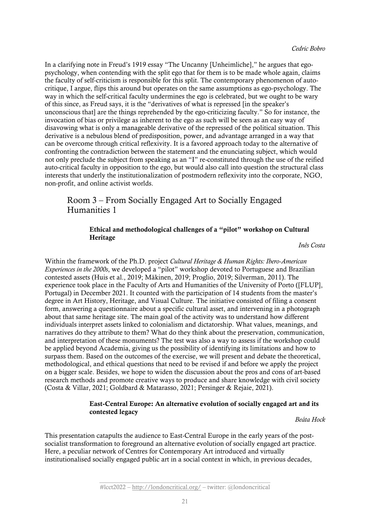In a clarifying note in Freud's 1919 essay "The Uncanny [Unheimliche]," he argues that egopsychology, when contending with the split ego that for them is to be made whole again, claims the faculty of self-criticism is responsible for this split. The contemporary phenomenon of autocritique, I argue, flips this around but operates on the same assumptions as ego-psychology. The way in which the self-critical faculty undermines the ego is celebrated, but we ought to be wary of this since, as Freud says, it is the "derivatives of what is repressed [in the speaker's unconscious that] are the things reprehended by the ego-criticizing faculty." So for instance, the invocation of bias or privilege as inherent to the ego as such will be seen as an easy way of disavowing what is only a manageable derivative of the repressed of the political situation. This derivative is a nebulous blend of predisposition, power, and advantage arranged in a way that can be overcome through critical reflexivity. It is a favored approach today to the alternative of confronting the contradiction between the statement and the enunciating subject, which would not only preclude the subject from speaking as an "I" re-constituted through the use of the reified auto-critical faculty in opposition to the ego, but would also call into question the structural class interests that underly the institutionalization of postmodern reflexivity into the corporate, NGO, non-profit, and online activist worlds.

# Room 3 – From Socially Engaged Art to Socially Engaged Humanities 1

#### Ethical and methodological challenges of a "pilot" workshop on Cultural Heritage

*Inês Costa*

Within the framework of the Ph.D. project *Cultural Heritage & Human Rights: Ibero-American Experiences in the 2000s*, we developed a "pilot" workshop devoted to Portuguese and Brazilian contested assets (Huis et al., 2019; Mäkinen, 2019; Proglio, 2019; Silverman, 2011). The experience took place in the Faculty of Arts and Humanities of the University of Porto ([FLUP], Portugal) in December 2021. It counted with the participation of 14 students from the master's degree in Art History, Heritage, and Visual Culture. The initiative consisted of filing a consent form, answering a questionnaire about a specific cultural asset, and intervening in a photograph about that same heritage site. The main goal of the activity was to understand how different individuals interpret assets linked to colonialism and dictatorship. What values, meanings, and narratives do they attribute to them? What do they think about the preservation, communication, and interpretation of these monuments? The test was also a way to assess if the workshop could be applied beyond Academia, giving us the possibility of identifying its limitations and how to surpass them. Based on the outcomes of the exercise, we will present and debate the theoretical, methodological, and ethical questions that need to be revised if and before we apply the project on a bigger scale. Besides, we hope to widen the discussion about the pros and cons of art-based research methods and promote creative ways to produce and share knowledge with civil society (Costa & Villar, 2021; Goldbard & Matarasso, 2021; Persinger & Rejaie, 2021).

#### East-Central Europe: An alternative evolution of socially engaged art and its contested legacy

*Beáta Hock*

This presentation catapults the audience to East-Central Europe in the early years of the postsocialist transformation to foreground an alternative evolution of socially engaged art practice. Here, a peculiar network of Centres for Contemporary Art introduced and virtually institutionalised socially engaged public art in a social context in which, in previous decades,

#### \_\_\_\_\_\_\_\_\_\_\_\_\_\_\_\_\_\_\_\_\_\_\_\_\_\_\_\_\_\_\_\_\_\_\_\_\_\_\_\_\_\_\_\_\_\_\_\_\_\_\_\_\_\_\_ #lcct2022 – <http://londoncritical.org/> – twitter: @londoncritical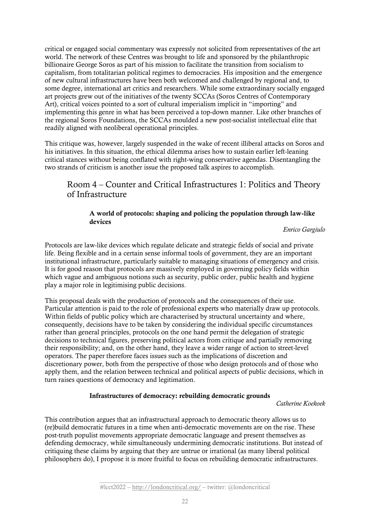critical or engaged social commentary was expressly not solicited from representatives of the art world. The network of these Centres was brought to life and sponsored by the philanthropic billionaire George Soros as part of his mission to facilitate the transition from socialism to capitalism, from totalitarian political regimes to democracies. His imposition and the emergence of new cultural infrastructures have been both welcomed and challenged by regional and, to some degree, international art critics and researchers. While some extraordinary socially engaged art projects grew out of the initiatives of the twenty SCCAs (Soros Centres of Contemporary Art), critical voices pointed to a sort of cultural imperialism implicit in "importing" and implementing this genre in what has been perceived a top-down manner. Like other branches of the regional Soros Foundations, the SCCAs moulded a new post-socialist intellectual elite that readily aligned with neoliberal operational principles.

This critique was, however, largely suspended in the wake of recent illiberal attacks on Soros and his initiatives. In this situation, the ethical dilemma arises how to sustain earlier left-leaning critical stances without being conflated with right-wing conservative agendas. Disentangling the two strands of criticism is another issue the proposed talk aspires to accomplish.

# Room 4 – Counter and Critical Infrastructures 1: Politics and Theory of Infrastructure

# A world of protocols: shaping and policing the population through law-like devices

## *Enrico Gargiulo*

Protocols are law-like devices which regulate delicate and strategic fields of social and private life. Being flexible and in a certain sense informal tools of government, they are an important institutional infrastructure, particularly suitable to managing situations of emergency and crisis. It is for good reason that protocols are massively employed in governing policy fields within which vague and ambiguous notions such as security, public order, public health and hygiene play a major role in legitimising public decisions.

This proposal deals with the production of protocols and the consequences of their use. Particular attention is paid to the role of professional experts who materially draw up protocols. Within fields of public policy which are characterised by structural uncertainty and where, consequently, decisions have to be taken by considering the individual specific circumstances rather than general principles, protocols on the one hand permit the delegation of strategic decisions to technical figures, preserving political actors from critique and partially removing their responsibility; and, on the other hand, they leave a wider range of action to street-level operators. The paper therefore faces issues such as the implications of discretion and discretionary power, both from the perspective of those who design protocols and of those who apply them, and the relation between technical and political aspects of public decisions, which in turn raises questions of democracy and legitimation.

## Infrastructures of democracy: rebuilding democratic grounds

#### *Catherine Koekoek*

This contribution argues that an infrastructural approach to democratic theory allows us to (re)build democratic futures in a time when anti-democratic movements are on the rise. These post-truth populist movements appropriate democratic language and present themselves as defending democracy, while simultaneously undermining democratic institutions. But instead of critiquing these claims by arguing that they are untrue or irrational (as many liberal political philosophers do), I propose it is more fruitful to focus on rebuilding democratic infrastructures.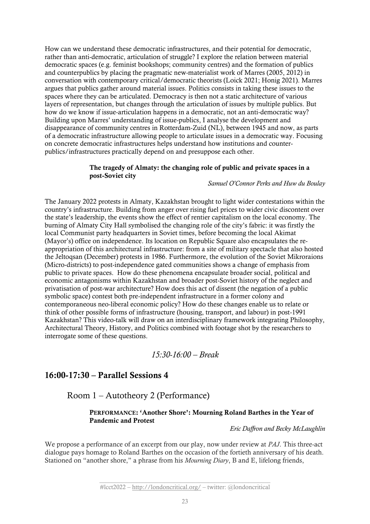How can we understand these democratic infrastructures, and their potential for democratic, rather than anti-democratic, articulation of struggle? I explore the relation between material democratic spaces (e.g. feminist bookshops; community centres) and the formation of publics and counterpublics by placing the pragmatic new-materialist work of Marres (2005, 2012) in conversation with contemporary critical/democratic theorists (Loick 2021; Honig 2021). Marres argues that publics gather around material issues. Politics consists in taking these issues to the spaces where they can be articulated. Democracy is then not a static architecture of various layers of representation, but changes through the articulation of issues by multiple publics. But how do we know if issue-articulation happens in a democratic, not an anti-democratic way? Building upon Marres' understanding of issue-publics, I analyse the development and disappearance of community centres in Rotterdam-Zuid (NL), between 1945 and now, as parts of a democratic infrastructure allowing people to articulate issues in a democratic way. Focusing on concrete democratic infrastructures helps understand how institutions and counterpublics/infrastructures practically depend on and presuppose each other.

#### The tragedy of Almaty: the changing role of public and private spaces in a post-Soviet city

*Samuel O'Connor Perks and Huw du Boulay*

The January 2022 protests in Almaty, Kazakhstan brought to light wider contestations within the country's infrastructure. Building from anger over rising fuel prices to wider civic discontent over the state's leadership, the events show the effect of rentier capitalism on the local economy. The burning of Almaty City Hall symbolised the changing role of the city's fabric: it was firstly the local Communist party headquarters in Soviet times, before becoming the local Akimat (Mayor's) office on independence. Its location on Republic Square also encapsulates the reappropriation of this architectural infrastructure: from a site of military spectacle that also hosted the Jeltoqsan (December) protests in 1986. Furthermore, the evolution of the Soviet Mikroraions (Micro-districts) to post-independence gated communities shows a change of emphasis from public to private spaces. How do these phenomena encapsulate broader social, political and economic antagonisms within Kazakhstan and broader post-Soviet history of the neglect and privatisation of post-war architecture? How does this act of dissent (the negation of a public symbolic space) contest both pre-independent infrastructure in a former colony and contemporaneous neo-liberal economic policy? How do these changes enable us to relate or think of other possible forms of infrastructure (housing, transport, and labour) in post-1991 Kazakhstan? This video-talk will draw on an interdisciplinary framework integrating Philosophy, Architectural Theory, History, and Politics combined with footage shot by the researchers to interrogate some of these questions.

# *15:30-16:00 – Break*

# 16:00-17:30 – Parallel Sessions 4

Room 1 – Autotheory 2 (Performance)

## PERFORMANCE: 'Another Shore': Mourning Roland Barthes in the Year of Pandemic and Protest

*Eric Daffron and Becky McLaughlin*

We propose a performance of an excerpt from our play, now under review at *PAJ*. This three-act dialogue pays homage to Roland Barthes on the occasion of the fortieth anniversary of his death. Stationed on "another shore," a phrase from his *Mourning Diary*, B and E, lifelong friends,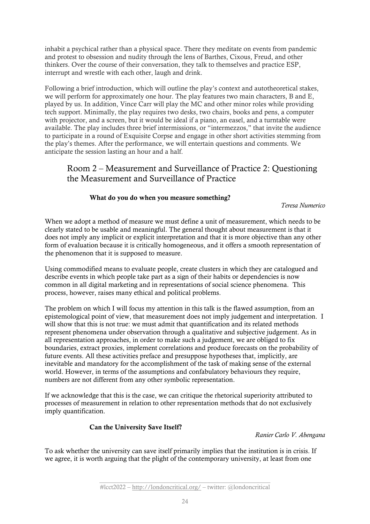inhabit a psychical rather than a physical space. There they meditate on events from pandemic and protest to obsession and nudity through the lens of Barthes, Cixous, Freud, and other thinkers. Over the course of their conversation, they talk to themselves and practice ESP, interrupt and wrestle with each other, laugh and drink.

Following a brief introduction, which will outline the play's context and autotheoretical stakes, we will perform for approximately one hour. The play features two main characters, B and E, played by us. In addition, Vince Carr will play the MC and other minor roles while providing tech support. Minimally, the play requires two desks, two chairs, books and pens, a computer with projector, and a screen, but it would be ideal if a piano, an easel, and a turntable were available. The play includes three brief intermissions, or "intermezzos," that invite the audience to participate in a round of Exquisite Corpse and engage in other short activities stemming from the play's themes. After the performance, we will entertain questions and comments. We anticipate the session lasting an hour and a half.

# Room 2 – Measurement and Surveillance of Practice 2: Questioning the Measurement and Surveillance of Practice

# What do you do when you measure something?

*Teresa Numerico*

When we adopt a method of measure we must define a unit of measurement, which needs to be clearly stated to be usable and meaningful. The general thought about measurement is that it does not imply any implicit or explicit interpretation and that it is more objective than any other form of evaluation because it is critically homogeneous, and it offers a smooth representation of the phenomenon that it is supposed to measure.

Using commodified means to evaluate people, create clusters in which they are catalogued and describe events in which people take part as a sign of their habits or dependencies is now common in all digital marketing and in representations of social science phenomena. This process, however, raises many ethical and political problems.

The problem on which I will focus my attention in this talk is the flawed assumption, from an epistemological point of view, that measurement does not imply judgement and interpretation. I will show that this is not true: we must admit that quantification and its related methods represent phenomena under observation through a qualitative and subjective judgement. As in all representation approaches, in order to make such a judgement, we are obliged to fix boundaries, extract proxies, implement correlations and produce forecasts on the probability of future events. All these activities preface and presuppose hypotheses that, implicitly, are inevitable and mandatory for the accomplishment of the task of making sense of the external world. However, in terms of the assumptions and confabulatory behaviours they require, numbers are not different from any other symbolic representation.

If we acknowledge that this is the case, we can critique the rhetorical superiority attributed to processes of measurement in relation to other representation methods that do not exclusively imply quantification.

# Can the University Save Itself?

*Ranier Carlo V. Abengana*

To ask whether the university can save itself primarily implies that the institution is in crisis. If we agree, it is worth arguing that the plight of the contemporary university, at least from one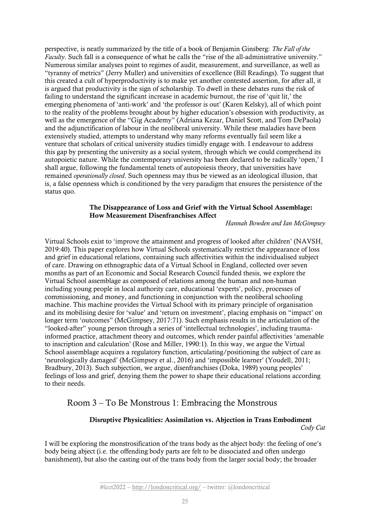perspective, is neatly summarized by the title of a book of Benjamin Ginsberg: *The Fall of the Faculty*. Such fall is a consequence of what he calls the "rise of the all-administrative university." Numerous similar analyses point to regimes of audit, measurement, and surveillance, as well as "tyranny of metrics" (Jerry Muller) and universities of excellence (Bill Readings). To suggest that this created a cult of hyperproductivity is to make yet another contested assertion, for after all, it is argued that productivity is the sign of scholarship. To dwell in these debates runs the risk of failing to understand the significant increase in academic burnout, the rise of 'quit lit,' the emerging phenomena of 'anti-work' and 'the professor is out' (Karen Kelsky), all of which point to the reality of the problems brought about by higher education's obsession with productivity, as well as the emergence of the "Gig Academy" (Adriana Kezar, Daniel Scott, and Tom DePaola) and the adjunctification of labour in the neoliberal university. While these maladies have been extensively studied, attempts to understand why many reforms eventually fail seem like a venture that scholars of critical university studies timidly engage with. I endeavour to address this gap by presenting the university as a social system, through which we could comprehend its autopoietic nature. While the contemporary university has been declared to be radically 'open,' I shall argue, following the fundamental tenets of autopoiesis theory, that universities have remained *operationally closed*. Such openness may thus be viewed as an ideological illusion, that is, a false openness which is conditioned by the very paradigm that ensures the persistence of the status quo.

#### The Disappearance of Loss and Grief with the Virtual School Assemblage: How Measurement Disenfranchises Affect

*Hannah Bowden and Ian McGimpsey*

Virtual Schools exist to 'improve the attainment and progress of looked after children' (NAVSH, 2019:40). This paper explores how Virtual Schools systematically restrict the appearance of loss and grief in educational relations, containing such affectivities within the individualised subject of care. Drawing on ethnographic data of a Virtual School in England, collected over seven months as part of an Economic and Social Research Council funded thesis, we explore the Virtual School assemblage as composed of relations among the human and non-human including young people in local authority care, educational 'experts', policy, processes of commissioning, and money, and functioning in conjunction with the neoliberal schooling machine. This machine provides the Virtual School with its primary principle of organisation and its mobilising desire for 'value' and 'return on investment', placing emphasis on "impact' on longer term 'outcomes" (McGimpsey, 2017:71). Such emphasis results in the articulation of the "looked-after" young person through a series of 'intellectual technologies', including traumainformed practice, attachment theory and outcomes, which render painful affectivities 'amenable to inscription and calculation' (Rose and Miller, 1990:1). In this way, we argue the Virtual School assemblage acquires a regulatory function, articulating/positioning the subject of care as 'neurologically damaged' (McGimpsey et al., 2016) and 'impossible learner' (Youdell, 2011; Bradbury, 2013). Such subjection, we argue, disenfranchises (Doka, 1989) young peoples' feelings of loss and grief, denying them the power to shape their educational relations according to their needs.

# Room 3 – To Be Monstrous 1: Embracing the Monstrous

#### Disruptive Physicalities: Assimilation vs. Abjection in Trans Embodiment *Cody Cat*

I will be exploring the monstrosification of the trans body as the abject body: the feeling of one's body being abject (i.e. the offending body parts are felt to be dissociated and often undergo banishment), but also the casting out of the trans body from the larger social body; the broader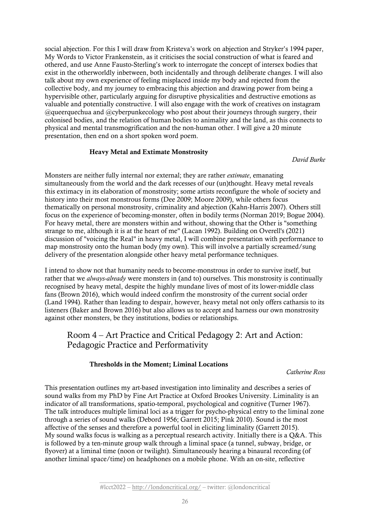social abjection. For this I will draw from Kristeva's work on abjection and Stryker's 1994 paper, My Words to Victor Frankenstein, as it criticises the social construction of what is feared and othered, and use Anne Fausto-Sterling's work to interrogate the concept of intersex bodies that exist in the otherworldly inbetween, both incidentally and through deliberate changes. I will also talk about my own experience of feeling misplaced inside my body and rejected from the collective body, and my journey to embracing this abjection and drawing power from being a hypervisible other, particularly arguing for disruptive physicalities and destructive emotions as valuable and potentially constructive. I will also engage with the work of creatives on instagram @queerquechua and @cyberpunkecology who post about their journeys through surgery, their colonised bodies, and the relation of human bodies to animality and the land, as this connects to physical and mental transmogrification and the non-human other. I will give a 20 minute presentation, then end on a short spoken word poem.

#### Heavy Metal and Extimate Monstrosity

*David Burke*

Monsters are neither fully internal nor external; they are rather *extimate*, emanating simultaneously from the world and the dark recesses of our (un)thought. Heavy metal reveals this extimacy in its elaboration of monstrosity; some artists reconfigure the whole of society and history into their most monstrous forms (Dee 2009; Moore 2009), while others focus thematically on personal monstrosity, criminality and abjection (Kahn-Harris 2007). Others still focus on the experience of becoming-monster, often in bodily terms (Norman 2019; Bogue 2004). For heavy metal, there are monsters within and without, showing that the Other is "something strange to me, although it is at the heart of me" (Lacan 1992). Building on Overell's (2021) discussion of "voicing the Real" in heavy metal, I will combine presentation with performance to map monstrosity onto the human body (my own). This will involve a partially screamed/sung delivery of the presentation alongside other heavy metal performance techniques.

I intend to show not that humanity needs to become-monstrous in order to survive itself, but rather that we *always-already* were monsters in (and to) ourselves. This monstrosity is continually recognised by heavy metal, despite the highly mundane lives of most of its lower-middle class fans (Brown 2016), which would indeed confirm the monstrosity of the current social order (Land 1994). Rather than leading to despair, however, heavy metal not only offers catharsis to its listeners (Baker and Brown 2016) but also allows us to accept and harness our own monstrosity against other monsters, be they institutions, bodies or relationships.

# Room 4 – Art Practice and Critical Pedagogy 2: Art and Action: Pedagogic Practice and Performativity

## Thresholds in the Moment; Liminal Locations

*Catherine Ross*

This presentation outlines my art-based investigation into liminality and describes a series of sound walks from my PhD by Fine Art Practice at Oxford Brookes University. Liminality is an indicator of all transformations, spatio-temporal, psychological and cognitive (Turner 1967). The talk introduces multiple liminal loci as a trigger for psycho-physical entry to the liminal zone through a series of sound walks (Debord 1956; Garrett 2015; Pink 2010). Sound is the most affective of the senses and therefore a powerful tool in eliciting liminality (Garrett 2015). My sound walks focus is walking as a perceptual research activity. Initially there is a Q&A. This is followed by a ten-minute group walk through a liminal space (a tunnel, subway, bridge, or flyover) at a liminal time (noon or twilight). Simultaneously hearing a binaural recording (of another liminal space/time) on headphones on a mobile phone. With an on-site, reflective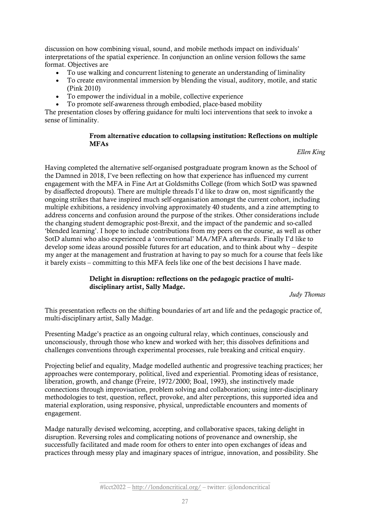discussion on how combining visual, sound, and mobile methods impact on individuals' interpretations of the spatial experience. In conjunction an online version follows the same format. Objectives are

- To use walking and concurrent listening to generate an understanding of liminality
- To create environmental immersion by blending the visual, auditory, motile, and static (Pink 2010)
- To empower the individual in a mobile, collective experience
- To promote self-awareness through embodied, place-based mobility

The presentation closes by offering guidance for multi loci interventions that seek to invoke a sense of liminality.

## From alternative education to collapsing institution: Reflections on multiple MFAs

*Ellen King*

Having completed the alternative self-organised postgraduate program known as the School of the Damned in 2018, I've been reflecting on how that experience has influenced my current engagement with the MFA in Fine Art at Goldsmiths College (from which SotD was spawned by disaffected dropouts). There are multiple threads I'd like to draw on, most significantly the ongoing strikes that have inspired much self-organisation amongst the current cohort, including multiple exhibitions, a residency involving approximately 40 students, and a zine attempting to address concerns and confusion around the purpose of the strikes. Other considerations include the changing student demographic post-Brexit, and the impact of the pandemic and so-called 'blended learning'. I hope to include contributions from my peers on the course, as well as other SotD alumni who also experienced a 'conventional' MA/MFA afterwards. Finally I'd like to develop some ideas around possible futures for art education, and to think about why – despite my anger at the management and frustration at having to pay so much for a course that feels like it barely exists – committing to this MFA feels like one of the best decisions I have made.

## Delight in disruption: reflections on the pedagogic practice of multidisciplinary artist, Sally Madge.

*Judy Thomas*

This presentation reflects on the shifting boundaries of art and life and the pedagogic practice of, multi-disciplinary artist, Sally Madge.

Presenting Madge's practice as an ongoing cultural relay, which continues, consciously and unconsciously, through those who knew and worked with her; this dissolves definitions and challenges conventions through experimental processes, rule breaking and critical enquiry.

Projecting belief and equality, Madge modelled authentic and progressive teaching practices; her approaches were contemporary, political, lived and experiential. Promoting ideas of resistance, liberation, growth, and change (Freire, 1972/2000; Boal, 1993), she instinctively made connections through improvisation, problem solving and collaboration; using inter-disciplinary methodologies to test, question, reflect, provoke, and alter perceptions, this supported idea and material exploration, using responsive, physical, unpredictable encounters and moments of engagement.

Madge naturally devised welcoming, accepting, and collaborative spaces, taking delight in disruption. Reversing roles and complicating notions of provenance and ownership, she successfully facilitated and made room for others to enter into open exchanges of ideas and practices through messy play and imaginary spaces of intrigue, innovation, and possibility. She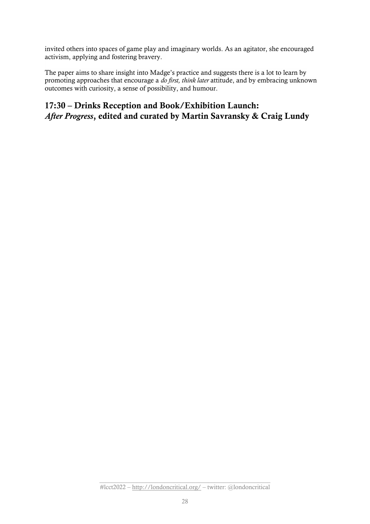invited others into spaces of game play and imaginary worlds. As an agitator, she encouraged activism, applying and fostering bravery.

The paper aims to share insight into Madge's practice and suggests there is a lot to learn by promoting approaches that encourage a *do first, think later* attitude, and by embracing unknown outcomes with curiosity, a sense of possibility, and humour.

# 17:30 – Drinks Reception and Book/Exhibition Launch: *After Progress*, edited and curated by Martin Savransky & Craig Lundy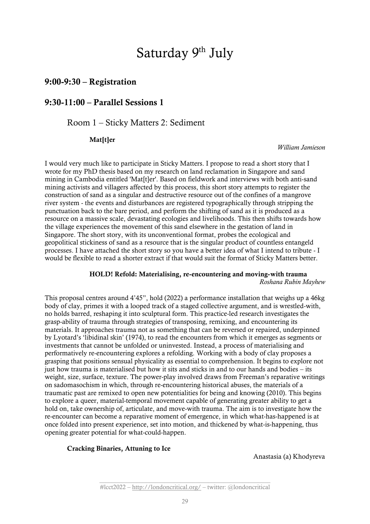# Saturday 9<sup>th</sup> July

# 9:00-9:30 – Registration

# 9:30-11:00 – Parallel Sessions 1

Room 1 – Sticky Matters 2: Sediment

## Mat[t]er

#### *William Jamieson*

I would very much like to participate in Sticky Matters. I propose to read a short story that I wrote for my PhD thesis based on my research on land reclamation in Singapore and sand mining in Cambodia entitled 'Mat[t]er'. Based on fieldwork and interviews with both anti-sand mining activists and villagers affected by this process, this short story attempts to register the construction of sand as a singular and destructive resource out of the confines of a mangrove river system - the events and disturbances are registered typographically through stripping the punctuation back to the bare period, and perform the shifting of sand as it is produced as a resource on a massive scale, devastating ecologies and livelihoods. This then shifts towards how the village experiences the movement of this sand elsewhere in the gestation of land in Singapore. The short story, with its unconventional format, probes the ecological and geopolitical stickiness of sand as a resource that is the singular product of countless entangeld processes. I have attached the short story so you have a better idea of what I intend to tribute - I would be flexible to read a shorter extract if that would suit the format of Sticky Matters better.

#### HOLD! Refold: Materialising, re-encountering and moving-with trauma *Roshana Rubin Mayhew*

This proposal centres around 4'45", hold (2022) a performance installation that weighs up a 46kg body of clay, primes it with a looped track of a staged collective argument, and is wrestled-with, no holds barred, reshaping it into sculptural form. This practice-led research investigates the grasp-ability of trauma through strategies of transposing, remixing, and encountering its materials. It approaches trauma not as something that can be reversed or repaired, underpinned by Lyotard's 'libidinal skin' (1974), to read the encounters from which it emerges as segments or investments that cannot be unfolded or uninvested. Instead, a process of materialising and performatively re-encountering explores a refolding. Working with a body of clay proposes a grasping that positions sensual physicality as essential to comprehension. It begins to explore not just how trauma is materialised but how it sits and sticks in and to our hands and bodies – its weight, size, surface, texture. The power-play involved draws from Freeman's reparative writings on sadomasochism in which, through re-encountering historical abuses, the materials of a traumatic past are remixed to open new potentialities for being and knowing (2010). This begins to explore a queer, material-temporal movement capable of generating greater ability to get a hold on, take ownership of, articulate, and move-with trauma. The aim is to investigate how the re-encounter can become a reparative moment of emergence, in which what-has-happened is at once folded into present experience, set into motion, and thickened by what-is-happening, thus opening greater potential for what-could-happen.

## Cracking Binaries, Attuning to Ice

Anastasia (a) Khodyreva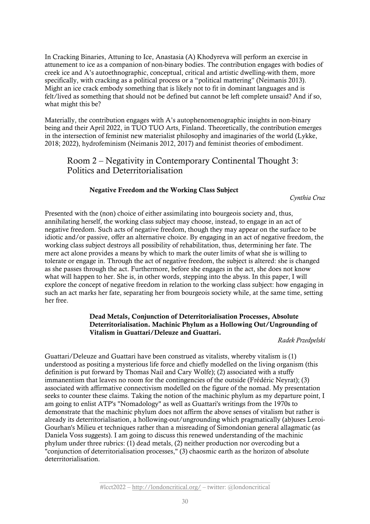In Cracking Binaries, Attuning to Ice, Anastasia (A) Khodyreva will perform an exercise in attunement to ice as a companion of non-binary bodies. The contribution engages with bodies of creek ice and A's autoethnographic, conceptual, critical and artistic dwelling-with them, more specifically, with cracking as a political process or a "political mattering" (Neimanis 2013). Might an ice crack embody something that is likely not to fit in dominant languages and is felt/lived as something that should not be defined but cannot be left complete unsaid? And if so, what might this be?

Materially, the contribution engages with A's autophenomenographic insights in non-binary being and their April 2022, in TUO TUO Arts, Finland. Theoretically, the contribution emerges in the intersection of feminist new materialist philosophy and imaginaries of the world (Lykke, 2018; 2022), hydrofeminism (Neimanis 2012, 2017) and feminist theories of embodiment.

# Room 2 – Negativity in Contemporary Continental Thought 3: Politics and Deterritorialisation

# Negative Freedom and the Working Class Subject

*Cynthia Cruz*

Presented with the (non) choice of either assimilating into bourgeois society and, thus, annihilating herself, the working class subject may choose, instead, to engage in an act of negative freedom. Such acts of negative freedom, though they may appear on the surface to be idiotic and/or passive, offer an alternative choice. By engaging in an act of negative freedom, the working class subject destroys all possibility of rehabilitation, thus, determining her fate. The mere act alone provides a means by which to mark the outer limits of what she is willing to tolerate or engage in. Through the act of negative freedom, the subject is altered: she is changed as she passes through the act. Furthermore, before she engages in the act, she does not know what will happen to her. She is, in other words, stepping into the abyss. In this paper, I will explore the concept of negative freedom in relation to the working class subject: how engaging in such an act marks her fate, separating her from bourgeois society while, at the same time, setting her free.

## Dead Metals, Conjunction of Deterritorialisation Processes, Absolute Deterritorialisation. Machinic Phylum as a Hollowing Out/Ungrounding of Vitalism in Guattari/Deleuze and Guattari.

*Radek Przedpelski*

Guattari/Deleuze and Guattari have been construed as vitalists, whereby vitalism is (1) understood as positing a mysterious life force and chiefly modelled on the living organism (this definition is put forward by Thomas Nail and Cary Wolfe); (2) associated with a stuffy immanentism that leaves no room for the contingencies of the outside (Frédéric Neyrat); (3) associated with affirmative connectivism modelled on the figure of the nomad. My presentation seeks to counter these claims. Taking the notion of the machinic phylum as my departure point, I am going to enlist ATP's "Nomadology" as well as Guattari's writings from the 1970s to demonstrate that the machinic phylum does not affirm the above senses of vitalism but rather is already its deterritorialisation, a hollowing-out/ungrounding which pragmatically (ab)uses Leroi-Gourhan's Milieu et techniques rather than a misreading of Simondonian general allagmatic (as Daniela Voss suggests). I am going to discuss this renewed understanding of the machinic phylum under three rubrics: (1) dead metals, (2) neither production nor overcoding but a "conjunction of deterritorialisation processes," (3) chaosmic earth as the horizon of absolute deterritorialisation.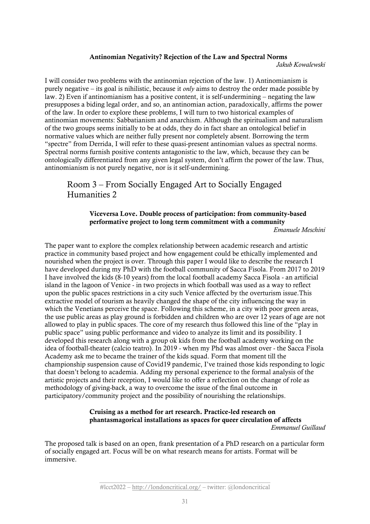#### Antinomian Negativity? Rejection of the Law and Spectral Norms

*Jakub Kowalewski*

I will consider two problems with the antinomian rejection of the law. 1) Antinomianism is purely negative – its goal is nihilistic, because it *only* aims to destroy the order made possible by law. 2) Even if antinomianism has a positive content, it is self-undermining – negating the law presupposes a biding legal order, and so, an antinomian action, paradoxically, affirms the power of the law. In order to explore these problems, I will turn to two historical examples of antinomian movements: Sabbatianism and anarchism. Although the spiritualism and naturalism of the two groups seems initially to be at odds, they do in fact share an ontological belief in normative values which are neither fully present nor completely absent. Borrowing the term "spectre" from Derrida, I will refer to these quasi-present antinomian values as spectral norms. Spectral norms furnish positive contents antagonistic to the law, which, because they can be ontologically differentiated from any given legal system, don't affirm the power of the law. Thus, antinomianism is not purely negative, nor is it self-undermining.

# Room 3 – From Socially Engaged Art to Socially Engaged Humanities 2

#### Viceversa Love. Double process of participation: from community-based performative project to long term commitment with a community *Emanuele Meschini*

The paper want to explore the complex relationship between academic research and artistic practice in community based project and how engagement could be ethically implemented and nourished when the project is over. Through this paper I would like to describe the research I have developed during my PhD with the football community of Sacca Fisola. From 2017 to 2019 I have involved the kids (8-10 years) from the local football academy Sacca Fisola - an artificial island in the lagoon of Venice - in two projects in which football was used as a way to reflect upon the public spaces restrictions in a city such Venice affected by the overturism issue.This extractive model of tourism as heavily changed the shape of the city influencing the way in which the Venetians perceive the space. Following this scheme, in a city with poor green areas, the use public areas as play ground is forbidden and children who are over 12 years of age are not allowed to play in public spaces. The core of my research thus followed this line of the "play in public space" using public performance and video to analyze its limit and its possibility. I developed this research along with a group ok kids from the football academy working on the idea of football-theater (calcio teatro). In 2019 - when my Phd was almost over - the Sacca Fisola Academy ask me to became the trainer of the kids squad. Form that moment till the championship suspension cause of Covid19 pandemic, I've trained those kids responding to logic that doesn't belong to academia. Adding my personal experience to the formal analysis of the artistic projects and their reception, I would like to offer a reflection on the change of role as methodology of giving-back, a way to overcome the issue of the final outcome in participatory/community project and the possibility of nourishing the relationships.

#### Cruising as a method for art research. Practice-led research on phantasmagorical installations as spaces for queer circulation of affects *Emmanuel Guillaud*

The proposed talk is based on an open, frank presentation of a PhD research on a particular form of socially engaged art. Focus will be on what research means for artists. Format will be immersive.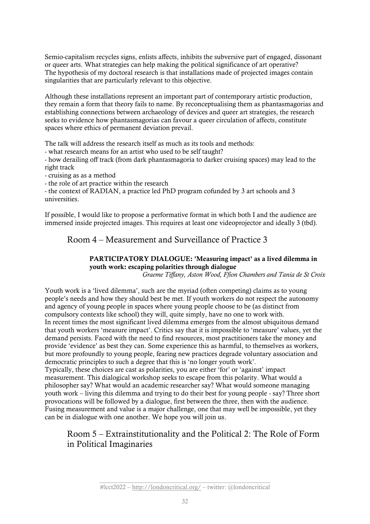Semio-capitalism recycles signs, enlists affects, inhibits the subversive part of engaged, dissonant or queer arts. What strategies can help making the political significance of art operative? The hypothesis of my doctoral research is that installations made of projected images contain singularities that are particularly relevant to this objective.

Although these installations represent an important part of contemporary artistic production, they remain a form that theory fails to name. By reconceptualising them as phantasmagorias and establishing connections between archaeology of devices and queer art strategies, the research seeks to evidence how phantasmagorias can favour a queer circulation of affects, constitute spaces where ethics of permanent deviation prevail.

The talk will address the research itself as much as its tools and methods:

- what research means for an artist who used to be self taught?

- how derailing off track (from dark phantasmagoria to darker cruising spaces) may lead to the right track

- cruising as as a method

- the role of art practice within the research

- the context of RADIAN, a practice led PhD program cofunded by 3 art schools and 3 universities.

If possible, I would like to propose a performative format in which both I and the audience are immersed inside projected images. This requires at least one videoprojector and ideally 3 (tbd).

# Room 4 – Measurement and Surveillance of Practice 3

# PARTICIPATORY DIALOGUE: 'Measuring impact' as a lived dilemma in youth work: escaping polarities through dialogue

*Graeme Tiffany, Aston Wood, Ffion Chambers and Tania de St Croix*

Youth work is a 'lived dilemma', such are the myriad (often competing) claims as to young people's needs and how they should best be met. If youth workers do not respect the autonomy and agency of young people in spaces where young people choose to be (as distinct from compulsory contexts like school) they will, quite simply, have no one to work with. In recent times the most significant lived dilemma emerges from the almost ubiquitous demand that youth workers 'measure impact'. Critics say that it is impossible to 'measure' values, yet the demand persists. Faced with the need to find resources, most practitioners take the money and provide 'evidence' as best they can. Some experience this as harmful, to themselves as workers, but more profoundly to young people, fearing new practices degrade voluntary association and democratic principles to such a degree that this is 'no longer youth work'.

Typically, these choices are cast as polarities, you are either 'for' or 'against' impact measurement. This dialogical workshop seeks to escape from this polarity. What would a philosopher say? What would an academic researcher say? What would someone managing youth work – living this dilemma and trying to do their best for young people - say? Three short provocations will be followed by a dialogue, first between the three, then with the audience. Fusing measurement and value is a major challenge, one that may well be impossible, yet they can be in dialogue with one another. We hope you will join us.

# Room 5 – Extrainstitutionality and the Political 2: The Role of Form in Political Imaginaries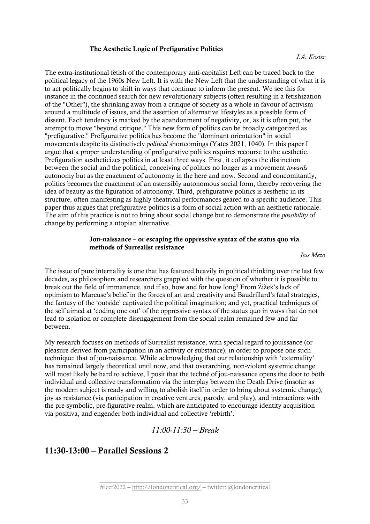#### The Aesthetic Logic of Prefigurative Politics

*J.A. Koster*

The extra-institutional fetish of the contemporary anti-capitalist Left can be traced back to the political legacy of the 1960s New Left. It is with the New Left that the understanding of what it is to act politically begins to shift in ways that continue to inform the present. We see this for instance in the continued search for new revolutionary subjects (often resulting in a fetishization of the "Other"), the shrinking away from a critique of society as a whole in favour of activism around a multitude of issues, and the assertion of alternative lifestyles as a possible form of dissent. Each tendency is marked by the abandonment of negativity, or, as it is often put, the attempt to move "beyond critique." This new form of politics can be broadly categorized as "prefigurative." Prefigurative politics has become the "dominant orientation" in social movements despite its distinctively *political* shortcomings (Yates 2021, 1040). In this paper I argue that a proper understanding of prefigurative politics requires recourse to the aesthetic. Prefiguration aestheticizes politics in at least three ways. First, it collapses the distinction between the social and the political, conceiving of politics no longer as a movement *towards* autonomy but as the enactment of autonomy in the here and now. Second and concomitantly, politics becomes the enactment of an ostensibly autonomous social form, thereby recovering the idea of beauty as the figuration of autonomy. Third, prefigurative politics is aesthetic in its structure, often manifesting as highly theatrical performances geared to a specific audience. This paper thus argues that prefigurative politics is a form of social action with an aesthetic rationale. The aim of this practice is not to bring about social change but to demonstrate the *possibility* of change by performing a utopian alternative.

#### Jou-naissance – or escaping the oppressive syntax of the status quo via methods of Surrealist resistance

*Jess Mezo*

The issue of pure internality is one that has featured heavily in political thinking over the last few decades, as philosophers and researchers grappled with the question of whether it is possible to break out the field of immanence, and if so, how and for how long? From Žižek's lack of optimism to Marcuse's belief in the forces of art and creativity and Baudrillard's fatal strategies, the fantasy of the 'outside' captivated the political imagination; and yet, practical techniques of the self aimed at 'coding one out' of the oppressive syntax of the status quo in ways that do not lead to isolation or complete disengagement from the social realm remained few and far between.

My research focuses on methods of Surrealist resistance, with special regard to jouissance (or pleasure derived from participation in an activity or substance), in order to propose one such technique: that of jou-naissance. While acknowledging that our relationship with 'externality' has remained largely theoretical until now, and that overarching, non-violent systemic change will most likely be hard to achieve, I posit that the techné of jou-naissance opens the door to both individual and collective transformation via the interplay between the Death Drive (insofar as the modern subject is ready and willing to abolish itself in order to bring about systemic change), joy as resistance (via participation in creative ventures, parody, and play), and interactions with the pre-symbolic, pre-figurative realm, which are anticipated to encourage identity acquisition via positiva, and engender both individual and collective 'rebirth'.

# *11:00-11:30 – Break*

# 11:30-13:00 – Parallel Sessions 2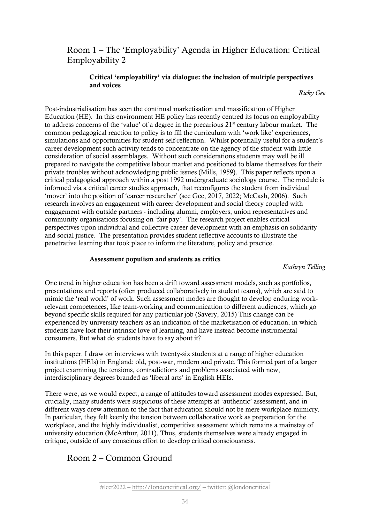# Room 1 – The 'Employability' Agenda in Higher Education: Critical Employability 2

# Critical 'employability' via dialogue: the inclusion of multiple perspectives and voices

*Ricky Gee*

Post-industrialisation has seen the continual marketisation and massification of Higher Education (HE). In this environment HE policy has recently centred its focus on employability to address concerns of the 'value' of a degree in the precarious  $21<sup>st</sup>$  century labour market. The common pedagogical reaction to policy is to fill the curriculum with 'work like' experiences, simulations and opportunities for student self-reflection. Whilst potentially useful for a student's career development such activity tends to concentrate on the agency of the student with little consideration of social assemblages. Without such considerations students may well be ill prepared to navigate the competitive labour market and positioned to blame themselves for their private troubles without acknowledging public issues (Mills, 1959). This paper reflects upon a critical pedagogical approach within a post 1992 undergraduate sociology course. The module is informed via a critical career studies approach, that reconfigures the student from individual 'mover' into the position of 'career researcher' (see Gee, 2017, 2022; McCash, 2006). Such research involves an engagement with career development and social theory coupled with engagement with outside partners - including alumni, employers, union representatives and community organisations focusing on 'fair pay'. The research project enables critical perspectives upon individual and collective career development with an emphasis on solidarity and social justice. The presentation provides student reflective accounts to illustrate the penetrative learning that took place to inform the literature, policy and practice.

## Assessment populism and students as critics

*Kathryn Telling*

One trend in higher education has been a drift toward assessment models, such as portfolios, presentations and reports (often produced collaboratively in student teams), which are said to mimic the 'real world' of work. Such assessment modes are thought to develop enduring workrelevant competences, like team-working and communication to different audiences, which go beyond specific skills required for any particular job (Savery, 2015) This change can be experienced by university teachers as an indication of the marketisation of education, in which students have lost their intrinsic love of learning, and have instead become instrumental consumers. But what do students have to say about it?

In this paper, I draw on interviews with twenty-six students at a range of higher education institutions (HEIs) in England: old, post-war, modern and private. This formed part of a larger project examining the tensions, contradictions and problems associated with new, interdisciplinary degrees branded as 'liberal arts' in English HEIs.

There were, as we would expect, a range of attitudes toward assessment modes expressed. But, crucially, many students were suspicious of these attempts at 'authentic' assessment, and in different ways drew attention to the fact that education should not be mere workplace-mimicry. In particular, they felt keenly the tension between collaborative work as preparation for the workplace, and the highly individualist, competitive assessment which remains a mainstay of university education (McArthur, 2011). Thus, students themselves were already engaged in critique, outside of any conscious effort to develop critical consciousness.

# Room 2 – Common Ground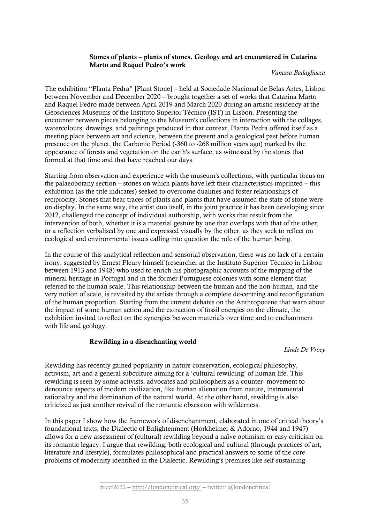## Stones of plants – plants of stones. Geology and art encountered in Catarina Marto and Raquel Pedro's work

*Vanessa Badagliacca*

The exhibition "Planta Pedra" [Plant Stone] – held at Sociedade Nacional de Belas Artes, Lisbon between November and December 2020 – brought together a set of works that Catarina Marto and Raquel Pedro made between April 2019 and March 2020 during an artistic residency at the Geosciences Museums of the Instituto Superior Técnico (IST) in Lisbon. Presenting the encounter between pieces belonging to the Museum's collections in interaction with the collages, watercolours, drawings, and paintings produced in that context, Planta Pedra offered itself as a meeting place between art and science, between the present and a geological past before human presence on the planet, the Carbonic Period (-360 to -268 million years ago) marked by the appearance of forests and vegetation on the earth's surface, as witnessed by the stones that formed at that time and that have reached our days.

Starting from observation and experience with the museum's collections, with particular focus on the palaeobotany section – stones on which plants have left their characteristics imprinted – this exhibition (as the title indicates) seeked to overcome dualities and foster relationships of reciprocity. Stones that bear traces of plants and plants that have assumed the state of stone were on display. In the same way, the artist duo itself, in the joint practice it has been developing since 2012, challenged the concept of individual authorship, with works that result from the intervention of both, whether it is a material gesture by one that overlaps with that of the other, or a reflection verbalised by one and expressed visually by the other, as they seek to reflect on ecological and environmental issues calling into question the role of the human being.

In the course of this analytical reflection and sensorial observation, there was no lack of a certain irony, suggested by Ernest Fleury himself (researcher at the Instituto Superior Técnico in Lisbon between 1913 and 1948) who used to enrich his photographic accounts of the mapping of the mineral heritage in Portugal and in the former Portuguese colonies with some element that referred to the human scale. This relationship between the human and the non-human, and the very notion of scale, is revisited by the artists through a complete de-centring and reconfiguration of the human proportion. Starting from the current debates on the Anthropocene that warn about the impact of some human action and the extraction of fossil energies on the climate, the exhibition invited to reflect on the synergies between materials over time and to enchantment with life and geology.

## Rewilding in a disenchanting world

*Linde De Vroey*

Rewilding has recently gained popularity in nature conservation, ecological philosophy, activism, art and a general subculture aiming for a 'cultural rewilding' of human life. This rewilding is seen by some activists, advocates and philosophers as a counter- movement to denounce aspects of modern civilization, like human alienation from nature, instrumental rationality and the domination of the natural world. At the other hand, rewilding is also criticized as just another revival of the romantic obsession with wilderness.

In this paper I show how the framework of disenchantment, elaborated in one of critical theory's foundational texts, the Dialectic of Enlightenment (Horkheimer & Adorno, 1944 and 1947) allows for a new assessment of (cultural) rewilding beyond a naïve optimism or easy criticism on its romantic legacy. I argue that rewilding, both ecological and cultural (through practices of art, literature and lifestyle), formulates philosophical and practical answers to some of the core problems of modernity identified in the Dialectic. Rewilding's premises like self-sustaining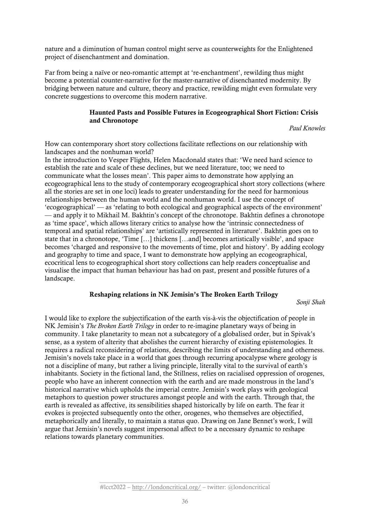nature and a diminution of human control might serve as counterweights for the Enlightened project of disenchantment and domination.

Far from being a naïve or neo-romantic attempt at 're-enchantment', rewilding thus might become a potential counter-narrative for the master-narrative of disenchanted modernity. By bridging between nature and culture, theory and practice, rewilding might even formulate very concrete suggestions to overcome this modern narrative.

#### Haunted Pasts and Possible Futures in Ecogeographical Short Fiction: Crisis and Chronotope

*Paul Knowles* 

How can contemporary short story collections facilitate reflections on our relationship with landscapes and the nonhuman world?

In the introduction to Vesper Flights, Helen Macdonald states that: 'We need hard science to establish the rate and scale of these declines, but we need literature, too; we need to communicate what the losses mean'. This paper aims to demonstrate how applying an ecogeographical lens to the study of contemporary ecogeographical short story collections (where all the stories are set in one loci) leads to greater understanding for the need for harmonious relationships between the human world and the nonhuman world. I use the concept of 'ecogeographical' — as 'relating to both ecological and geographical aspects of the environment' — and apply it to Mikhail M. Bakhtin's concept of the chronotope. Bakhtin defines a chronotope as 'time space', which allows literary critics to analyse how the 'intrinsic connectedness of temporal and spatial relationships' are 'artistically represented in literature'. Bakhtin goes on to state that in a chronotope, 'Time […] thickens […and] becomes artistically visible', and space becomes 'charged and responsive to the movements of time, plot and history'. By adding ecology and geography to time and space, I want to demonstrate how applying an ecogeographical, ecocritical lens to ecogeographical short story collections can help readers conceptualise and visualise the impact that human behaviour has had on past, present and possible futures of a landscape.

#### Reshaping relations in NK Jemisin's The Broken Earth Trilogy

*Sonji Shah*

I would like to explore the subjectification of the earth vis-à-vis the objectification of people in NK Jemisin's *The Broken Earth Trilogy* in order to re-imagine planetary ways of being in community. I take planetarity to mean not a subcategory of a globalised order, but in Spivak's sense, as a system of alterity that abolishes the current hierarchy of existing epistemologies. It requires a radical reconsidering of relations, describing the limits of understanding and otherness. Jemisin's novels take place in a world that goes through recurring apocalypse where geology is not a discipline of many, but rather a living principle, literally vital to the survival of earth's inhabitants. Society in the fictional land, the Stillness, relies on racialised oppression of orogenes, people who have an inherent connection with the earth and are made monstrous in the land's historical narrative which upholds the imperial centre. Jemisin's work plays with geological metaphors to question power structures amongst people and with the earth. Through that, the earth is revealed as affective, its sensibilities shaped historically by life on earth. The fear it evokes is projected subsequently onto the other, orogenes, who themselves are objectified, metaphorically and literally, to maintain a status quo. Drawing on Jane Bennet's work, I will argue that Jemisin's novels suggest impersonal affect to be a necessary dynamic to reshape relations towards planetary communities.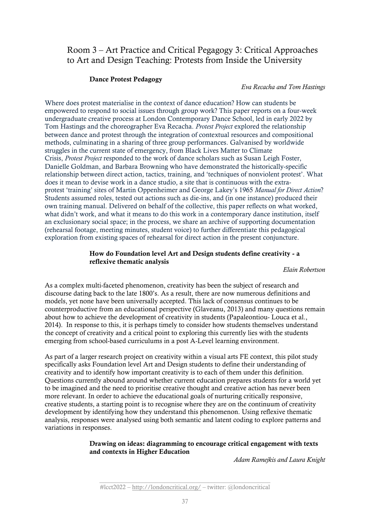# Room 3 – Art Practice and Critical Pegagogy 3: Critical Approaches to Art and Design Teaching: Protests from Inside the University

## Dance Protest Pedagogy

*Eva Recacha and Tom Hastings*

Where does protest materialise in the context of dance education? How can students be empowered to respond to social issues through group work? This paper reports on a four-week undergraduate creative process at London Contemporary Dance School, led in early 2022 by Tom Hastings and the choreographer Eva Recacha. *Protest Project* explored the relationship between dance and protest through the integration of contextual resources and compositional methods, culminating in a sharing of three group performances. Galvanised by worldwide struggles in the current state of emergency, from Black Lives Matter to Climate Crisis, *Protest Project* responded to the work of dance scholars such as Susan Leigh Foster, Danielle Goldman, and Barbara Browning who have demonstrated the historically-specific relationship between direct action, tactics, training, and 'techniques of nonviolent protest'. What does it mean to devise work in a dance studio, a site that is continuous with the extraprotest 'training' sites of Martin Oppenheimer and George Lakey's 1965 *Manual for Direct Action*? Students assumed roles, tested out actions such as die-ins, and (in one instance) produced their own training manual. Delivered on behalf of the collective, this paper reflects on what worked, what didn't work, and what it means to do this work in a contemporary dance institution, itself an exclusionary social space; in the process, we share an archive of supporting documentation (rehearsal footage, meeting minutes, student voice) to further differentiate this pedagogical exploration from existing spaces of rehearsal for direct action in the present conjuncture.

#### How do Foundation level Art and Design students define creativity - a reflexive thematic analysis

*Elain Robertson*

As a complex multi-faceted phenomenon, creativity has been the subject of research and discourse dating back to the late 1800's. As a result, there are now numerous definitions and models, yet none have been universally accepted. This lack of consensus continues to be counterproductive from an educational perspective (Glaveanu, 2013) and many questions remain about how to achieve the development of creativity in students (Papaleontiou- Louca et al., 2014). In response to this, it is perhaps timely to consider how students themselves understand the concept of creativity and a critical point to exploring this currently lies with the students emerging from school-based curriculums in a post A-Level learning environment.

As part of a larger research project on creativity within a visual arts FE context, this pilot study specifically asks Foundation level Art and Design students to define their understanding of creativity and to identify how important creativity is to each of them under this definition. Questions currently abound around whether current education prepares students for a world yet to be imagined and the need to prioritise creative thought and creative action has never been more relevant. In order to achieve the educational goals of nurturing critically responsive, creative students, a starting point is to recognise where they are on the continuum of creativity development by identifying how they understand this phenomenon. Using reflexive thematic analysis, responses were analysed using both semantic and latent coding to explore patterns and variations in responses.

#### Drawing on ideas: diagramming to encourage critical engagement with texts and contexts in Higher Education

*Adam Ramejkis and Laura Knight*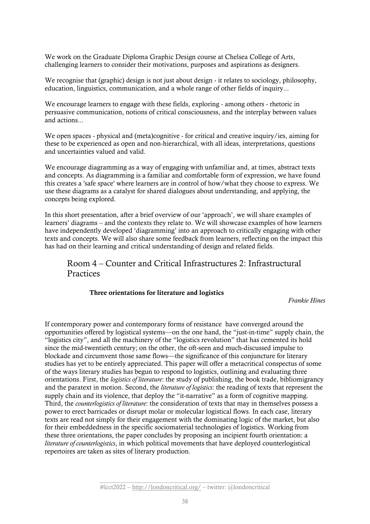We work on the Graduate Diploma Graphic Design course at Chelsea College of Arts, challenging learners to consider their motivations, purposes and aspirations as designers.

We recognise that (graphic) design is not just about design - it relates to sociology, philosophy, education, linguistics, communication, and a whole range of other fields of inquiry...

We encourage learners to engage with these fields, exploring - among others - rhetoric in persuasive communication, notions of critical consciousness, and the interplay between values and actions...

We open spaces - physical and (meta)cognitive - for critical and creative inquiry/ies, aiming for these to be experienced as open and non-hierarchical, with all ideas, interpretations, questions and uncertainties valued and valid.

We encourage diagramming as a way of engaging with unfamiliar and, at times, abstract texts and concepts. As diagramming is a familiar and comfortable form of expression, we have found this creates a 'safe space' where learners are in control of how/what they choose to express. We use these diagrams as a catalyst for shared dialogues about understanding, and applying, the concepts being explored.

In this short presentation, after a brief overview of our 'approach', we will share examples of learners' diagrams – and the contexts they relate to. We will showcase examples of how learners have independently developed 'diagramming' into an approach to critically engaging with other texts and concepts. We will also share some feedback from learners, reflecting on the impact this has had on their learning and critical understanding of design and related fields.

# Room 4 – Counter and Critical Infrastructures 2: Infrastructural **Practices**

## Three orientations for literature and logistics

*Frankie Hines*

If contemporary power and contemporary forms of resistance have converged around the opportunities offered by logistical systems—on the one hand, the "just-in-time" supply chain, the "logistics city", and all the machinery of the "logistics revolution" that has cemented its hold since the mid-twentieth century; on the other, the oft-seen and much-discussed impulse to blockade and circumvent those same flows—the significance of this conjuncture for literary studies has yet to be entirely appreciated. This paper will offer a metacritical conspectus of some of the ways literary studies has begun to respond to logistics, outlining and evaluating three orientations. First, the *logistics of literature*: the study of publishing, the book trade, bibliomigrancy and the paratext in motion. Second, the *literature of logistics*: the reading of texts that represent the supply chain and its violence, that deploy the "it-narrative" as a form of cognitive mapping. Third, the *counterlogistics of literature*: the consideration of texts that may in themselves possess a power to erect barricades or disrupt molar or molecular logistical flows. In each case, literary texts are read not simply for their engagement with the dominating logic of the market, but also for their embeddedness in the specific sociomaterial technologies of logistics. Working from these three orientations, the paper concludes by proposing an incipient fourth orientation: a *literature of counterlogistics*, in which political movements that have deployed counterlogistical repertoires are taken as sites of literary production.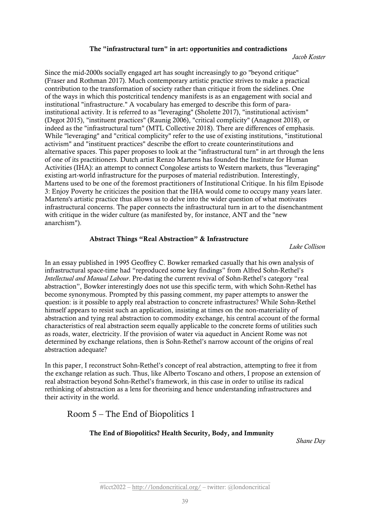#### The "infrastructural turn" in art: opportunities and contradictions

*Jacob Koster*

Since the mid-2000s socially engaged art has sought increasingly to go "beyond critique" (Fraser and Rothman 2017). Much contemporary artistic practice strives to make a practical contribution to the transformation of society rather than critique it from the sidelines. One of the ways in which this postcritical tendency manifests is as an engagement with social and institutional "infrastructure." A vocabulary has emerged to describe this form of parainstitutional activity. It is referred to as "leveraging" (Sholette 2017), "institutional activism" (Degot 2015), "instituent practices" (Raunig 2006), "critical complicity" (Anagnost 2018), or indeed as the "infrastructural turn" (MTL Collective 2018). There are differences of emphasis. While "leveraging" and "critical complicity" refer to the use of existing institutions, "institutional activism" and "instituent practices" describe the effort to create counterinstitutions and alternative spaces. This paper proposes to look at the "infrastructural turn" in art through the lens of one of its practitioners. Dutch artist Renzo Martens has founded the Institute for Human Activities (IHA): an attempt to connect Congolese artists to Western markets, thus "leveraging" existing art-world infrastructure for the purposes of material redistribution. Interestingly, Martens used to be one of the foremost practitioners of Institutional Critique. In his film Episode 3: Enjoy Poverty he criticizes the position that the IHA would come to occupy many years later. Martens's artistic practice thus allows us to delve into the wider question of what motivates infrastructural concerns. The paper connects the infrastructural turn in art to the disenchantment with critique in the wider culture (as manifested by, for instance, ANT and the "new anarchism").

## Abstract Things "Real Abstraction" & Infrastructure

*Luke Collison*

In an essay published in 1995 Geoffrey C. Bowker remarked casually that his own analysis of infrastructural space-time had "reproduced some key findings" from Alfred Sohn-Rethel's *Intellectual and Manual Labour*. Pre-dating the current revival of Sohn-Rethel's category "real abstraction", Bowker interestingly does not use this specific term, with which Sohn-Rethel has become synonymous. Prompted by this passing comment, my paper attempts to answer the question: is it possible to apply real abstraction to concrete infrastructures? While Sohn-Rethel himself appears to resist such an application, insisting at times on the non-materiality of abstraction and tying real abstraction to commodity exchange, his central account of the formal characteristics of real abstraction seem equally applicable to the concrete forms of utilities such as roads, water, electricity. If the provision of water via aqueduct in Ancient Rome was not determined by exchange relations, then is Sohn-Rethel's narrow account of the origins of real abstraction adequate?

In this paper, I reconstruct Sohn-Rethel's concept of real abstraction, attempting to free it from the exchange relation as such. Thus, like Alberto Toscano and others, I propose an extension of real abstraction beyond Sohn-Rethel's framework, in this case in order to utilise its radical rethinking of abstraction as a lens for theorising and hence understanding infrastructures and their activity in the world.

# Room 5 – The End of Biopolitics 1

# The End of Biopolitics? Health Security, Body, and Immunity

*Shane Day*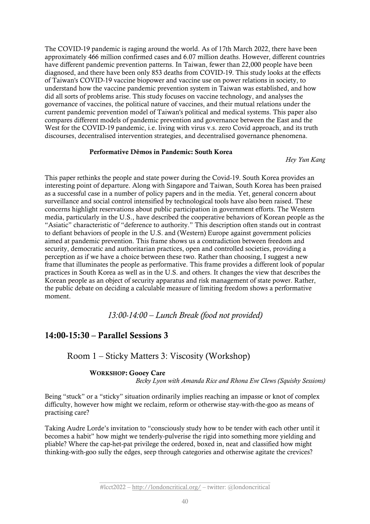The COVID-19 pandemic is raging around the world. As of 17th March 2022, there have been approximately 466 million confirmed cases and 6.07 million deaths. However, different countries have different pandemic prevention patterns. In Taiwan, fewer than 22,000 people have been diagnosed, and there have been only 853 deaths from COVID-19. This study looks at the effects of Taiwan's COVID-19 vaccine biopower and vaccine use on power relations in society, to understand how the vaccine pandemic prevention system in Taiwan was established, and how did all sorts of problems arise. This study focuses on vaccine technology, and analyses the governance of vaccines, the political nature of vaccines, and their mutual relations under the current pandemic prevention model of Taiwan's political and medical systems. This paper also compares different models of pandemic prevention and governance between the East and the West for the COVID-19 pandemic, i.e. living with virus v.s. zero Covid approach, and its truth discourses, decentralised intervention strategies, and decentralised governance phenomena.

#### Performative D**ē**mos in Pandemic: South Korea

*Hey Yun Kang*

This paper rethinks the people and state power during the Covid-19. South Korea provides an interesting point of departure. Along with Singapore and Taiwan, South Korea has been praised as a successful case in a number of policy papers and in the media. Yet, general concern about surveillance and social control intensified by technological tools have also been raised. These concerns highlight reservations about public participation in government efforts. The Western media, particularly in the U.S., have described the cooperative behaviors of Korean people as the "Asiatic" characteristic of "deference to authority." This description often stands out in contrast to defiant behaviors of people in the U.S. and (Western) Europe against government policies aimed at pandemic prevention. This frame shows us a contradiction between freedom and security, democratic and authoritarian practices, open and controlled societies, providing a perception as if we have a choice between these two. Rather than choosing, I suggest a new frame that illuminates the people as performative. This frame provides a different look of popular practices in South Korea as well as in the U.S. and others. It changes the view that describes the Korean people as an object of security apparatus and risk management of state power. Rather, the public debate on deciding a calculable measure of limiting freedom shows a performative moment.

# *13:00-14:00 – Lunch Break (food not provided)*

# 14:00-15:30 – Parallel Sessions 3

Room 1 – Sticky Matters 3: Viscosity (Workshop)

## WORKSHOP: Gooey Care

*Becky Lyon with Amanda Rice and Rhona Eve Clews (Squishy Sessions)*

Being "stuck" or a "sticky" situation ordinarily implies reaching an impasse or knot of complex difficulty, however how might we reclaim, reform or otherwise stay-with-the-goo as means of practising care?

Taking Audre Lorde's invitation to "consciously study how to be tender with each other until it becomes a habit" how might we tenderly-pulverise the rigid into something more yielding and pliable? Where the cap-het-pat privilege the ordered, boxed in, neat and classified how might thinking-with-goo sully the edges, seep through categories and otherwise agitate the crevices?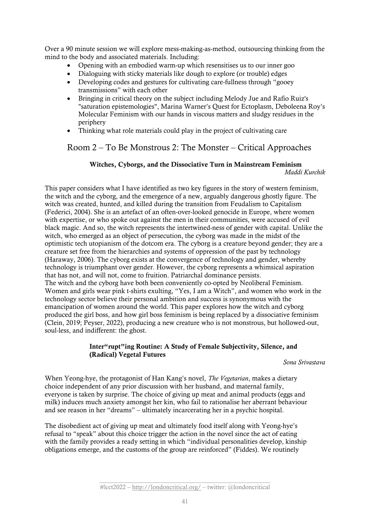Over a 90 minute session we will explore mess-making-as-method, outsourcing thinking from the mind to the body and associated materials. Including:

- Opening with an embodied warm-up which resensitises us to our inner goo
- Dialoguing with sticky materials like dough to explore (or trouble) edges
- Developing codes and gestures for cultivating care-fullness through "gooey transmissions" with each other
- Bringing in critical theory on the subject including Melody Jue and Rafio Ruiz's "saturation epistemologies", Marina Warner's Quest for Ectoplasm, Deboleena Roy's Molecular Feminism with our hands in viscous matters and sludgy residues in the periphery
- Thinking what role materials could play in the project of cultivating care

Room 2 – To Be Monstrous 2: The Monster – Critical Approaches

#### Witches, Cyborgs, and the Dissociative Turn in Mainstream Feminism *Maddi Kurchik*

This paper considers what I have identified as two key figures in the story of western feminism, the witch and the cyborg, and the emergence of a new, arguably dangerous ghostly figure. The witch was created, hunted, and killed during the transition from Feudalism to Capitalism (Federici, 2004). She is an artefact of an often-over-looked genocide in Europe, where women with expertise, or who spoke out against the men in their communities, were accused of evil black magic. And so, the witch represents the intertwined-ness of gender with capital. Unlike the witch, who emerged as an object of persecution, the cyborg was made in the midst of the optimistic tech utopianism of the dotcom era. The cyborg is a creature beyond gender; they are a creature set free from the hierarchies and systems of oppression of the past by technology (Haraway, 2006). The cyborg exists at the convergence of technology and gender, whereby technology is triumphant over gender. However, the cyborg represents a whimsical aspiration that has not, and will not, come to fruition. Patriarchal dominance persists. The witch and the cyborg have both been conveniently co-opted by Neoliberal Feminism. Women and girls wear pink t-shirts exulting, "Yes, I am a Witch", and women who work in the technology sector believe their personal ambition and success is synonymous with the emancipation of women around the world. This paper explores how the witch and cyborg produced the girl boss, and how girl boss feminism is being replaced by a dissociative feminism (Clein, 2019; Peyser, 2022), producing a new creature who is not monstrous, but hollowed-out, soul-less, and indifferent: the ghost.

#### Inter"rupt"ing Routine: A Study of Female Subjectivity, Silence, and (Radical) Vegetal Futures

*Sona Srivastava*

When Yeong-hye, the protagonist of Han Kang's novel, *The Vegetarian*, makes a dietary choice independent of any prior discussion with her husband, and maternal family, everyone is taken by surprise. The choice of giving up meat and animal products (eggs and milk) induces much anxiety amongst her kin, who fail to rationalise her aberrant behaviour and see reason in her "dreams" – ultimately incarcerating her in a psychic hospital.

The disobedient act of giving up meat and ultimately food itself along with Yeong-hye's refusal to "speak" about this choice trigger the action in the novel since the act of eating with the family provides a ready setting in which "individual personalities develop, kinship obligations emerge, and the customs of the group are reinforced" (Fiddes). We routinely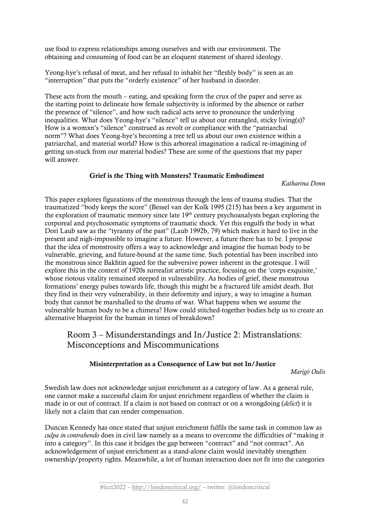use food to express relationships among ourselves and with our environment. The obtaining and consuming of food can be an eloquent statement of shared ideology.

Yeong-hye's refusal of meat, and her refusal to inhabit her "fleshly body" is seen as an "interruption" that puts the "orderly existence" of her husband in disorder.

These acts from the mouth – eating, and speaking form the crux of the paper and serve as the starting point to delineate how female subjectivity is informed by the absence or rather the presence of "silence", and how such radical acts serve to pronounce the underlying inequalities. What does Yeong-hye's "silence" tell us about our entangled, sticky living(s)? How is a womxn's "silence" construed as revolt or compliance with the "patriarchal norm"? What does Yeong-hye's becoming a tree tell us about our own existence within a patriarchal, and material world? How is this arboreal imagination a radical re-imagining of getting un-stuck from our material bodies? These are some of the questions that my paper will answer.

## Grief is the Thing with Monsters? Traumatic Embodiment

*Katharina Donn*

This paper explores figurations of the monstrous through the lens of trauma studies. That the traumatized "body keeps the score" (Bessel van der Kolk 1995 (215) has been a key argument in the exploration of traumatic memory since late 19th century psychoanalysts began exploring the corporeal and psychosomatic symptoms of traumatic shock. Yet this engulfs the body in what Dori Laub saw as the "tyranny of the past" (Laub 1992b, 79) which makes it hard to live in the present and nigh-impossible to imagine a future. However, a future there has to be. I propose that the idea of monstrosity offers a way to acknowledge and imagine the human body to be vulnerable, grieving, and future-bound at the same time. Such potential has been inscribed into the monstrous since Bakhtin agued for the subversive power inherent in the grotesque. I will explore this in the context of 1920s surrealist artistic practice, focusing on the 'corps exquisite,' whose riotous vitality remained steeped in vulnerability. As bodies of grief, these monstrous formations' energy pulses towards life, though this might be a fractured life amidst death. But they find in their very vulnerability, in their deformity and injury, a way to imagine a human body that cannot be marshalled to the drums of war. What happens when we assume the vulnerable human body to be a chimera? How could stitched-together bodies help us to create an alternative blueprint for the human in times of breakdown?

# Room 3 – Misunderstandings and In/Justice 2: Mistranslations: Misconceptions and Miscommunications

## Misinterpretation as a Consequence of Law but not In/Justice

*Marigó Oulis*

Swedish law does not acknowledge unjust enrichment as a category of law. As a general rule, one cannot make a successful claim for unjust enrichment regardless of whether the claim is made in or out of contract. If a claim is not based on contract or on a wrongdoing (*delict*) it is likely not a claim that can render compensation.

Duncan Kennedy has once stated that unjust enrichment fulfils the same task in common law as *culpa in contrahendo* does in civil law namely as a means to overcome the difficulties of "making it into a category". In this case it bridges the gap between "contract" and "not contract". An acknowledgement of unjust enrichment as a stand-alone claim would inevitably strengthen ownership/property rights. Meanwhile, a lot of human interaction does not fit into the categories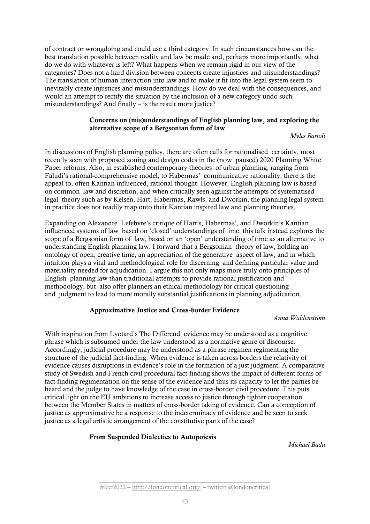of contract or wrongdoing and could use a third category. In such circumstances how can the best translation possible between reality and law be made and, perhaps more importantly, what do we do with whatever is left? What happens when we remain rigid in our view of the categories? Does not a hard division between concepts create injustices and misunderstandings? The translation of human interaction into law and to make it fit into the legal system seem to inevitably create injustices and misunderstandings. How do we deal with the consequences, and would an attempt to rectify the situation by the inclusion of a new category undo such misunderstandings? And finally – is the result more justice?

#### Concerns on (mis)understandings of English planning law, and exploring the alternative scope of a Bergsonian form of law

*Myles Bartoli*

In discussions of English planning policy, there are often calls for rationalised certainty, most recently seen with proposed zoning and design codes in the (now paused) 2020 Planning White Paper reforms. Also, in established contemporary theories of urban planning, ranging from Faludi's rational-comprehensive model, to Habermas' communicative rationality, there is the appeal to, often Kantian influenced, rational thought. However, English planning law is based on common law and discretion, and when critically seen against the attempts of systematised legal theory such as by Kelsen, Hart, Habermas, Rawls, and Dworkin, the planning legal system in practice does not readily map onto their Kantian inspired law and planning theories.

Expanding on Alexandre Lefebvre's critique of Hart's, Habermas', and Dworkin's Kantian influenced systems of law based on 'closed' understandings of time, this talk instead explores the scope of a Bergsonian form of law, based on an 'open' understanding of time as an alternative to understanding English planning law. I forward that a Bergsonian theory of law, holding an ontology of open, creative time, an appreciation of the generative aspect of law, and in which intuition plays a vital and methodological role for discerning and defining particular value and materiality needed for adjudication. I argue this not only maps more truly onto principles of English planning law than traditional attempts to provide rational justification and methodology, but also offer planners an ethical methodology for critical questioning and judgment to lead to more morally substantial justifications in planning adjudication.

## Approximative Justice and Cross-border Evidence

*Anna Waldenström*

With inspiration from Lyotard's The Differend, evidence may be understood as a cognitive phrase which is subsumed under the law understood as a normative genre of discourse. Accordingly, judicial procedure may be understood as a phrase regimen regimenting the structure of the judicial fact-finding. When evidence is taken across borders the relativity of evidence causes disruptions in evidence's role in the formation of a just judgment. A comparative study of Swedish and French civil procedural fact-finding shows the impact of different forms of fact-finding regimentation on the sense of the evidence and thus its capacity to let the parties be heard and the judge to have knowledge of the case in cross-border civil procedure. This puts critical light on the EU ambitions to increase access to justice through tighter cooperation between the Member States in matters of cross-border taking of evidence. Can a conception of justice as approximative be a response to the indeterminacy of evidence and be seen to seek justice as a legal artistic arrangement of the constitutive parts of the case?

## From Suspended Dialectics to Autopoiesis

*Michael Badu*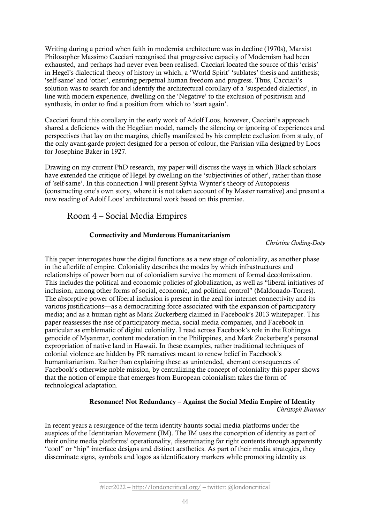Writing during a period when faith in modernist architecture was in decline (1970s), Marxist Philosopher Massimo Cacciari recognised that progressive capacity of Modernism had been exhausted, and perhaps had never even been realised. Cacciari located the source of this 'crisis' in Hegel's dialectical theory of history in which, a 'World Spirit' 'sublates' thesis and antithesis; 'self-same' and 'other', ensuring perpetual human freedom and progress. Thus, Cacciari's solution was to search for and identify the architectural corollary of a 'suspended dialectics', in line with modern experience, dwelling on the 'Negative' to the exclusion of positivism and synthesis, in order to find a position from which to 'start again'.

Cacciari found this corollary in the early work of Adolf Loos, however, Cacciari's approach shared a deficiency with the Hegelian model, namely the silencing or ignoring of experiences and perspectives that lay on the margins, chiefly manifested by his complete exclusion from study, of the only avant-garde project designed for a person of colour, the Parisian villa designed by Loos for Josephine Baker in 1927.

Drawing on my current PhD research, my paper will discuss the ways in which Black scholars have extended the critique of Hegel by dwelling on the 'subjectivities of other', rather than those of 'self-same'. In this connection I will present Sylvia Wynter's theory of Autopoiesis (constructing one's own story, where it is not taken account of by Master narrative) and present a new reading of Adolf Loos' architectural work based on this premise.

# Room 4 – Social Media Empires

# Connectivity and Murderous Humanitarianism

#### *Christine Goding-Doty*

This paper interrogates how the digital functions as a new stage of coloniality, as another phase in the afterlife of empire. Coloniality describes the modes by which infrastructures and relationships of power born out of colonialism survive the moment of formal decolonization. This includes the political and economic policies of globalization, as well as "liberal initiatives of inclusion, among other forms of social, economic, and political control" (Maldonado-Torres). The absorptive power of liberal inclusion is present in the zeal for internet connectivity and its various justifications—as a democratizing force associated with the expansion of participatory media; and as a human right as Mark Zuckerberg claimed in Facebook's 2013 whitepaper. This paper reassesses the rise of participatory media, social media companies, and Facebook in particular as emblematic of digital coloniality. I read across Facebook's role in the Rohingya genocide of Myanmar, content moderation in the Philippines, and Mark Zuckerberg's personal expropriation of native land in Hawaii. In these examples, rather traditional techniques of colonial violence are hidden by PR narratives meant to renew belief in Facebook's humanitarianism. Rather than explaining these as unintended, aberrant consequences of Facebook's otherwise noble mission, by centralizing the concept of coloniality this paper shows that the notion of empire that emerges from European colonialism takes the form of technological adaptation.

## Resonance! Not Redundancy – Against the Social Media Empire of Identity *Christoph Brunner*

In recent years a resurgence of the term identity haunts social media platforms under the auspices of the Identitarian Movement (IM). The IM uses the conception of identity as part of their online media platforms' operationality, disseminating far right contents through apparently "cool" or "hip" interface designs and distinct aesthetics. As part of their media strategies, they disseminate signs, symbols and logos as identificatory markers while promoting identity as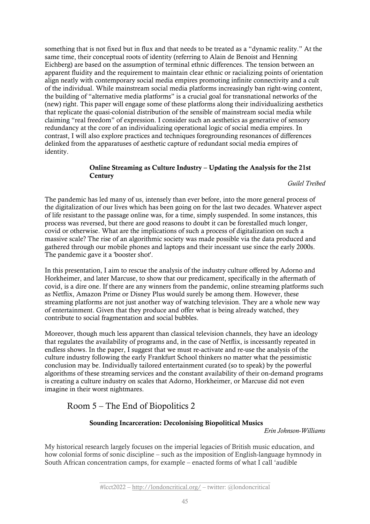something that is not fixed but in flux and that needs to be treated as a "dynamic reality." At the same time, their conceptual roots of identity (referring to Alain de Benoist and Henning Eichberg) are based on the assumption of terminal ethnic differences. The tension between an apparent fluidity and the requirement to maintain clear ethnic or racializing points of orientation align neatly with contemporary social media empires promoting infinite connectivity and a cult of the individual. While mainstream social media platforms increasingly ban right-wing content, the building of "alternative media platforms" is a crucial goal for transnational networks of the (new) right. This paper will engage some of these platforms along their individualizing aesthetics that replicate the quasi-colonial distribution of the sensible of mainstream social media while claiming "real freedom" of expression. I consider such an aesthetics as generative of sensory redundancy at the core of an individualizing operational logic of social media empires. In contrast, I will also explore practices and techniques foregrounding resonances of differences delinked from the apparatuses of aesthetic capture of redundant social media empires of identity.

## Online Streaming as Culture Industry – Updating the Analysis for the 21st **Century**

*Guilel Treibed*

The pandemic has led many of us, intensely than ever before, into the more general process of the digitalization of our lives which has been going on for the last two decades. Whatever aspect of life resistant to the passage online was, for a time, simply suspended. In some instances, this process was reversed, but there are good reasons to doubt it can be forestalled much longer, covid or otherwise. What are the implications of such a process of digitalization on such a massive scale? The rise of an algorithmic society was made possible via the data produced and gathered through our mobile phones and laptops and their incessant use since the early 2000s. The pandemic gave it a 'booster shot'.

In this presentation, I aim to rescue the analysis of the industry culture offered by Adorno and Horkheimer, and later Marcuse, to show that our predicament, specifically in the aftermath of covid, is a dire one. If there are any winners from the pandemic, online streaming platforms such as Netflix, Amazon Prime or Disney Plus would surely be among them. However, these streaming platforms are not just another way of watching television. They are a whole new way of entertainment. Given that they produce and offer what is being already watched, they contribute to social fragmentation and social bubbles.

Moreover, though much less apparent than classical television channels, they have an ideology that regulates the availability of programs and, in the case of Netflix, is incessantly repeated in endless shows. In the paper, I suggest that we must re-activate and re-use the analysis of the culture industry following the early Frankfurt School thinkers no matter what the pessimistic conclusion may be. Individually tailored entertainment curated (so to speak) by the powerful algorithms of these streaming services and the constant availability of their on-demand programs is creating a culture industry on scales that Adorno, Horkheimer, or Marcuse did not even imagine in their worst nightmares.

# Room 5 – The End of Biopolitics 2

## Sounding Incarceration: Decolonising Biopolitical Musics

*Erin Johnson-Williams*

My historical research largely focuses on the imperial legacies of British music education, and how colonial forms of sonic discipline – such as the imposition of English-language hymnody in South African concentration camps, for example – enacted forms of what I call 'audible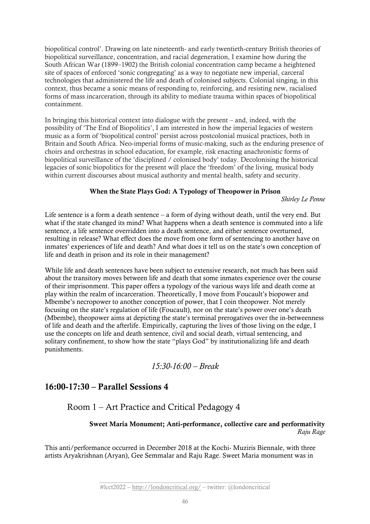biopolitical control'. Drawing on late nineteenth- and early twentieth-century British theories of biopolitical surveillance, concentration, and racial degeneration, I examine how during the South African War (1899–1902) the British colonial concentration camp became a heightened site of spaces of enforced 'sonic congregating' as a way to negotiate new imperial, carceral technologies that administered the life and death of colonised subjects. Colonial singing, in this context, thus became a sonic means of responding to, reinforcing, and resisting new, racialised forms of mass incarceration, through its ability to mediate trauma within spaces of biopolitical containment.

In bringing this historical context into dialogue with the present – and, indeed, with the possibility of 'The End of Biopolitics', I am interested in how the imperial legacies of western music as a form of 'biopolitical control' persist across postcolonial musical practices, both in Britain and South Africa. Neo-imperial forms of music-making, such as the enduring presence of choirs and orchestras in school education, for example, risk enacting anachronistic forms of biopolitical surveillance of the 'disciplined / colonised body' today. Decolonising the historical legacies of sonic biopolitics for the present will place the 'freedom' of the living, musical body within current discourses about musical authority and mental health, safety and security.

# When the State Plays God: A Typology of Theopower in Prison

*Shirley Le Penne*

Life sentence is a form a death sentence  $-$  a form of dying without death, until the very end. But what if the state changed its mind? What happens when a death sentence is commuted into a life sentence, a life sentence overridden into a death sentence, and either sentence overturned, resulting in release? What effect does the move from one form of sentencing to another have on inmates' experiences of life and death? And what does it tell us on the state's own conception of life and death in prison and its role in their management?

While life and death sentences have been subject to extensive research, not much has been said about the transitory moves between life and death that some inmates experience over the course of their imprisonment. This paper offers a typology of the various ways life and death come at play within the realm of incarceration. Theoretically, I move from Foucault's biopower and Mbembe's necropower to another conception of power, that I coin theopower. Not merely focusing on the state's regulation of life (Foucault), nor on the state's power over one's death (Mbembe), theopower aims at depicting the state's terminal prerogatives over the in-betweenness of life and death and the afterlife. Empirically, capturing the lives of those living on the edge, I use the concepts on life and death sentence, civil and social death, virtual sentencing, and solitary confinement, to show how the state "plays God" by institutionalizing life and death punishments.

# *15:30-16:00 – Break*

# 16:00-17:30 – Parallel Sessions 4

Room 1 – Art Practice and Critical Pedagogy 4

# Sweet Maria Monument; Anti-performance, collective care and performativity *Raju Rage*

This anti/performance occurred in December 2018 at the Kochi- Muziris Biennale, with three artists Aryakrishnan (Aryan), Gee Semmalar and Raju Rage. Sweet Maria monument was in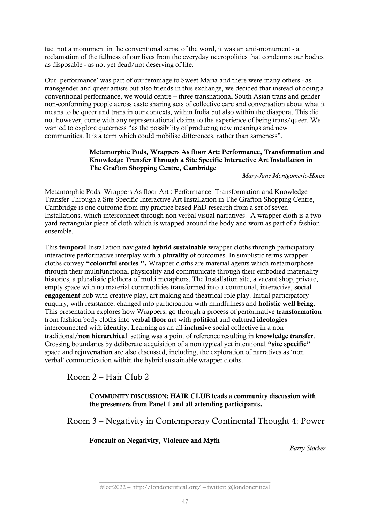fact not a monument in the conventional sense of the word, it was an anti-monument - a reclamation of the fullness of our lives from the everyday necropolitics that condemns our bodies as disposable - as not yet dead/not deserving of life.

Our 'performance' was part of our femmage to Sweet Maria and there were many others - as transgender and queer artists but also friends in this exchange, we decided that instead of doing a conventional performance, we would centre – three transnational South Asian trans and gender non-conforming people across caste sharing acts of collective care and conversation about what it means to be queer and trans in our contexts, within India but also within the diaspora. This did not however, come with any representational claims to the experience of being trans/queer. We wanted to explore queerness "as the possibility of producing new meanings and new communities. It is a term which could mobilise differences, rather than sameness".

## Metamorphic Pods, Wrappers As floor Art: Performance, Transformation and Knowledge Transfer Through a Site Specific Interactive Art Installation in The Grafton Shopping Centre, Cambridge

*Mary-Jane Montgomerie-House*

Metamorphic Pods, Wrappers As floor Art : Performance, Transformation and Knowledge Transfer Through a Site Specific Interactive Art Installation in The Grafton Shopping Centre, Cambridge is one outcome from my practice based PhD research from a set of seven Installations, which interconnect through non verbal visual narratives. A wrapper cloth is a two yard rectangular piece of cloth which is wrapped around the body and worn as part of a fashion ensemble.

This temporal Installation navigated hybrid sustainable wrapper cloths through participatory interactive performative interplay with a plurality of outcomes. In simplistic terms wrapper cloths convey "colourful stories ". Wrapper cloths are material agents which metamorphose through their multifunctional physicality and communicate through their embodied materiality histories, a pluralistic plethora of multi metaphors. The Installation site, a vacant shop, private, empty space with no material commodities transformed into a communal, interactive, social engagement hub with creative play, art making and theatrical role play. Initial participatory enquiry, with resistance, changed into participation with mindfulness and holistic well being. This presentation explores how Wrappers, go through a process of performative transformation from fashion body cloths into verbal floor art with political and cultural ideologies interconnected with identity. Learning as an all inclusive social collective in a non traditional/non hierarchical setting was a point of reference resulting in knowledge transfer. Crossing boundaries by deliberate acquisition of a non typical yet intentional "site specific" space and rejuvenation are also discussed, including, the exploration of narratives as 'non verbal' communication within the hybrid sustainable wrapper cloths.

Room 2 – Hair Club 2

COMMUNITY DISCUSSION: HAIR CLUB leads a community discussion with the presenters from Panel 1 and all attending participants.

Room 3 – Negativity in Contemporary Continental Thought 4: Power

Foucault on Negativity, Violence and Myth

*Barry Stocker*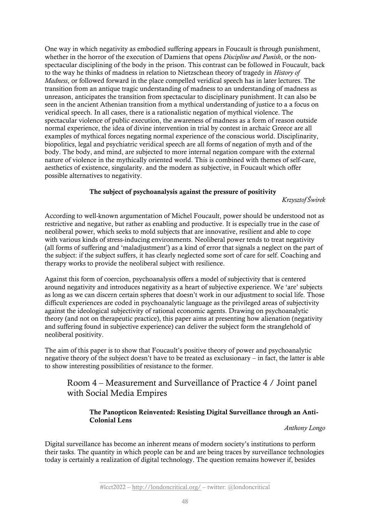One way in which negativity as embodied suffering appears in Foucault is through punishment, whether in the horror of the execution of Damiens that opens *Discipline and Punish*, or the nonspectacular disciplining of the body in the prison. This contrast can be followed in Foucault, back to the way he thinks of madness in relation to Nietzschean theory of tragedy in *History of Madness*, or followed forward in the place compelled veridical speech has in later lectures. The transition from an antique tragic understanding of madness to an understanding of madness as unreason, anticipates the transition from spectacular to disciplinary punishment. It can also be seen in the ancient Athenian transition from a mythical understanding of justice to a a focus on veridical speech. In all cases, there is a rationalistic negation of mythical violence. The spectacular violence of public execution, the awareness of madness as a form of reason outside normal experience, the idea of divine intervention in trial by contest in archaic Greece are all examples of mythical forces negating normal experience of the conscious world. Disciplinarity, biopolitics, legal and psychiatric veridical speech are all forms of negation of myth and of the body. The body, and mind, are subjected to more internal negation compare with the external nature of violence in the mythically oriented world. This is combined with themes of self-care, aesthetics of existence, singularity. and the modern as subjective, in Foucault which offer possible alternatives to negativity.

# The subject of psychoanalysis against the pressure of positivity

*Krzysztof Świrek*

According to well-known argumentation of Michel Foucault, power should be understood not as restrictive and negative, but rather as enabling and productive. It is especially true in the case of neoliberal power, which seeks to mold subjects that are innovative, resilient and able to cope with various kinds of stress-inducing environments. Neoliberal power tends to treat negativity (all forms of suffering and 'maladjustment') as a kind of error that signals a neglect on the part of the subject: if the subject suffers, it has clearly neglected some sort of care for self. Coaching and therapy works to provide the neoliberal subject with resilience.

Against this form of coercion, psychoanalysis offers a model of subjectivity that is centered around negativity and introduces negativity as a heart of subjective experience. We 'are' subjects as long as we can discern certain spheres that doesn't work in our adjustment to social life. Those difficult experiences are coded in psychoanalytic language as the privileged areas of subjectivity against the ideological subjectivity of rational economic agents. Drawing on psychoanalytic theory (and not on therapeutic practice), this paper aims at presenting how alienation (negativity and suffering found in subjective experience) can deliver the subject form the stranglehold of neoliberal positivity.

The aim of this paper is to show that Foucault's positive theory of power and psychoanalytic negative theory of the subject doesn't have to be treated as exclusionary – in fact, the latter is able to show interesting possibilities of resistance to the former.

# Room 4 – Measurement and Surveillance of Practice 4 / Joint panel with Social Media Empires

# The Panopticon Reinvented: Resisting Digital Surveillance through an Anti-Colonial Lens

*Anthony Longo*

Digital surveillance has become an inherent means of modern society's institutions to perform their tasks. The quantity in which people can be and are being traces by surveillance technologies today is certainly a realization of digital technology. The question remains however if, besides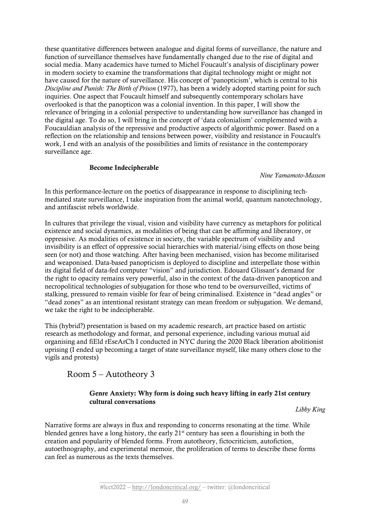these quantitative differences between analogue and digital forms of surveillance, the nature and function of surveillance themselves have fundamentally changed due to the rise of digital and social media. Many academics have turned to Michel Foucault's analysis of disciplinary power in modern society to examine the transformations that digital technology might or might not have caused for the nature of surveillance. His concept of 'panopticism', which is central to his *Discipline and Punish: The Birth of Prison* (1977), has been a widely adopted starting point for such inquiries. One aspect that Foucault himself and subsequently contemporary scholars have overlooked is that the panopticon was a colonial invention. In this paper, I will show the relevance of bringing in a colonial perspective to understanding how surveillance has changed in the digital age. To do so, I will bring in the concept of 'data colonialism' complemented with a Foucauldian analysis of the repressive and productive aspects of algorithmic power. Based on a reflection on the relationship and tensions between power, visibility and resistance in Foucault's work, I end with an analysis of the possibilities and limits of resistance in the contemporary surveillance age.

## Become Indecipherable

*Nine Yamamoto-Masson*

In this performance-lecture on the poetics of disappearance in response to disciplining techmediated state surveillance, I take inspiration from the animal world, quantum nanotechnology, and antifascist rebels worldwide.

In cultures that privilege the visual, vision and visibility have currency as metaphors for political existence and social dynamics, as modalities of being that can be affirming and liberatory, or oppressive. As modalities of existence in society, the variable spectrum of visibility and invisibility is an effect of oppressive social hierarchies with material/ising effects on those being seen (or not) and those watching. After having been mechanised, vision has become militarised and weaponised. Data-based panopticism is deployed to discipline and interpellate those within its digital field of data-fed computer "vision" and jurisdiction. Edouard Glissant's demand for the right to opacity remains very powerful, also in the context of the data-driven panopticon and necropolitical technologies of subjugation for those who tend to be oversurveilled, victims of stalking, pressured to remain visible for fear of being criminalised. Existence in "dead angles" or "dead zones" as an intentional resistant strategy can mean freedom or subjugation. We demand, we take the right to be indecipherable.

This (hybrid?) presentation is based on my academic research, art practice based on artistic research as methodology and format, and personal experience, including various mutual aid organising and fiEld rEseArCh I conducted in NYC during the 2020 Black liberation abolitionist uprising (I ended up becoming a target of state surveillance myself, like many others close to the vigils and protests)

Room 5 – Autotheory 3

# Genre Anxiety: Why form is doing such heavy lifting in early 21st century cultural conversations

*Libby King*

Narrative forms are always in flux and responding to concerns resonating at the time. While blended genres have a long history, the early  $21<sup>st</sup>$  century has seen a flourishing in both the creation and popularity of blended forms. From autotheory, fictocriticism, autofiction, autoethnography, and experimental memoir, the proliferation of terms to describe these forms can feel as numerous as the texts themselves.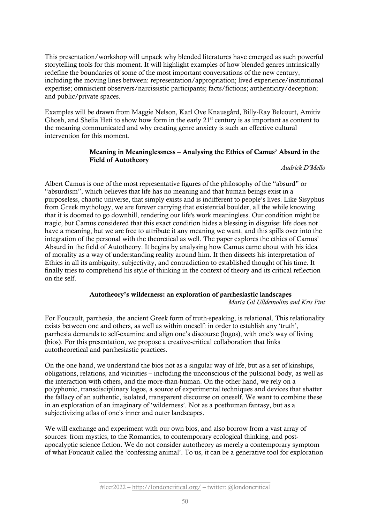This presentation/workshop will unpack why blended literatures have emerged as such powerful storytelling tools for this moment. It will highlight examples of how blended genres intrinsically redefine the boundaries of some of the most important conversations of the new century, including the moving lines between: representation/appropriation; lived experience/institutional expertise; omniscient observers/narcissistic participants; facts/fictions; authenticity/deception; and public/private spaces.

Examples will be drawn from Maggie Nelson, Karl Ove Knausgård, Billy-Ray Belcourt, Amitiv Ghosh, and Shelia Heti to show how form in the early 21<sup>st</sup> century is as important as content to the meaning communicated and why creating genre anxiety is such an effective cultural intervention for this moment.

## Meaning in Meaninglessness – Analysing the Ethics of Camus' Absurd in the Field of Autotheory

#### *Audrick D'Mello*

Albert Camus is one of the most representative figures of the philosophy of the "absurd" or "absurdism", which believes that life has no meaning and that human beings exist in a purposeless, chaotic universe, that simply exists and is indifferent to people's lives. Like Sisyphus from Greek mythology, we are forever carrying that existential boulder, all the while knowing that it is doomed to go downhill, rendering our life's work meaningless. Our condition might be tragic, but Camus considered that this exact condition hides a blessing in disguise: life does not have a meaning, but we are free to attribute it any meaning we want, and this spills over into the integration of the personal with the theoretical as well. The paper explores the ethics of Camus' Absurd in the field of Autotheory. It begins by analysing how Camus came about with his idea of morality as a way of understanding reality around him. It then dissects his interpretation of Ethics in all its ambiguity, subjectivity, and contradiction to established thought of his time. It finally tries to comprehend his style of thinking in the context of theory and its critical reflection on the self.

#### Autotheory's wilderness: an exploration of parrhesiastic landscapes *Maria Gil Ulldemolins and Kris Pint*

For Foucault, parrhesia, the ancient Greek form of truth-speaking, is relational. This relationality exists between one and others, as well as within oneself: in order to establish any 'truth', parrhesia demands to self-examine and align one's discourse (logos), with one's way of living (bios). For this presentation, we propose a creative-critical collaboration that links autotheoretical and parrhesiastic practices.

On the one hand, we understand the bios not as a singular way of life, but as a set of kinships, obligations, relations, and vicinities – including the unconscious of the pulsional body, as well as the interaction with others, and the more-than-human. On the other hand, we rely on a polyphonic, transdisciplinary logos, a source of experimental techniques and devices that shatter the fallacy of an authentic, isolated, transparent discourse on oneself. We want to combine these in an exploration of an imaginary of 'wilderness'. Not as a posthuman fantasy, but as a subjectivizing atlas of one's inner and outer landscapes.

We will exchange and experiment with our own bios, and also borrow from a vast array of sources: from mystics, to the Romantics, to contemporary ecological thinking, and postapocalyptic science fiction. We do not consider autotheory as merely a contemporary symptom of what Foucault called the 'confessing animal'. To us, it can be a generative tool for exploration